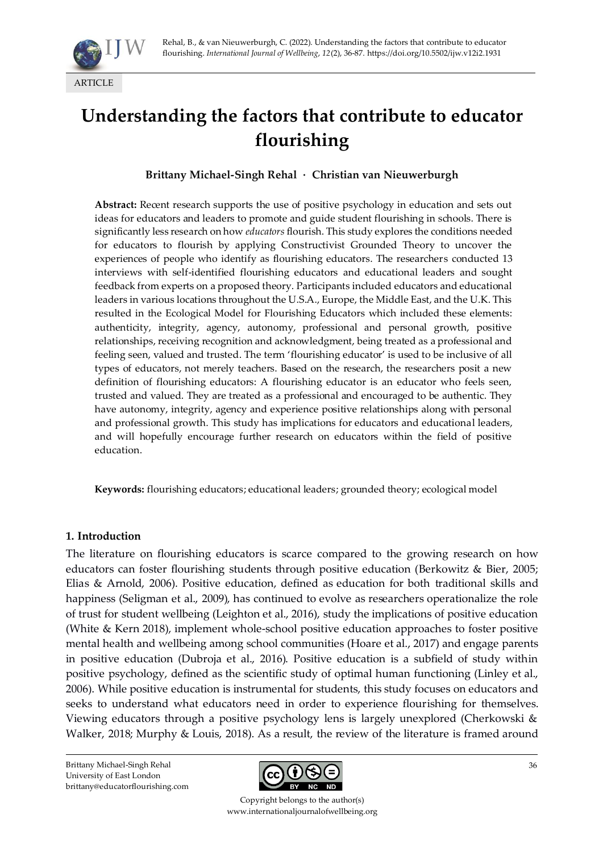

# **Understanding the factors that contribute to educator flourishing**

#### **Brittany Michael-Singh Rehal · Christian van Nieuwerburgh**

**Abstract:** Recent research supports the use of positive psychology in education and sets out ideas for educators and leaders to promote and guide student flourishing in schools. There is significantly less research on how *educators* flourish. This study explores the conditions needed for educators to flourish by applying Constructivist Grounded Theory to uncover the experiences of people who identify as flourishing educators. The researchers conducted 13 interviews with self-identified flourishing educators and educational leaders and sought feedback from experts on a proposed theory. Participants included educators and educational leaders in various locations throughout the U.S.A., Europe, the Middle East, and the U.K. This resulted in the Ecological Model for Flourishing Educators which included these elements: authenticity, integrity, agency, autonomy, professional and personal growth, positive relationships, receiving recognition and acknowledgment, being treated as a professional and feeling seen, valued and trusted. The term 'flourishing educator' is used to be inclusive of all types of educators, not merely teachers. Based on the research, the researchers posit a new definition of flourishing educators: A flourishing educator is an educator who feels seen, trusted and valued. They are treated as a professional and encouraged to be authentic. They have autonomy, integrity, agency and experience positive relationships along with personal and professional growth. This study has implications for educators and educational leaders, and will hopefully encourage further research on educators within the field of positive education.

**Keywords:** flourishing educators; educational leaders; grounded theory; ecological model

#### **1. Introduction**

The literature on flourishing educators is scarce compared to the growing research on how educators can foster flourishing students through positive education (Berkowitz & Bier, 2005; Elias & Arnold, 2006). Positive education, defined as education for both traditional skills and happiness (Seligman et al., 2009), has continued to evolve as researchers operationalize the role of trust for student wellbeing (Leighton et al., 2016), study the implications of positive education (White & Kern 2018), implement whole-school positive education approaches to foster positive mental health and wellbeing among school communities (Hoare et al., 2017) and engage parents in positive education (Dubroja et al., 2016). Positive education is a subfield of study within positive psychology, defined as the scientific study of optimal human functioning (Linley et al., 2006). While positive education is instrumental for students, this study focuses on educators and seeks to understand what educators need in order to experience flourishing for themselves. Viewing educators through a positive psychology lens is largely unexplored (Cherkowski & Walker, 2018; Murphy & Louis, 2018). As a result, the review of the literature is framed around

Brittany Michael-Singh Rehal University of East London brittany@educatorflourishing.com



Copyright belongs to the author(s) www.internationaljournalofwellbeing.org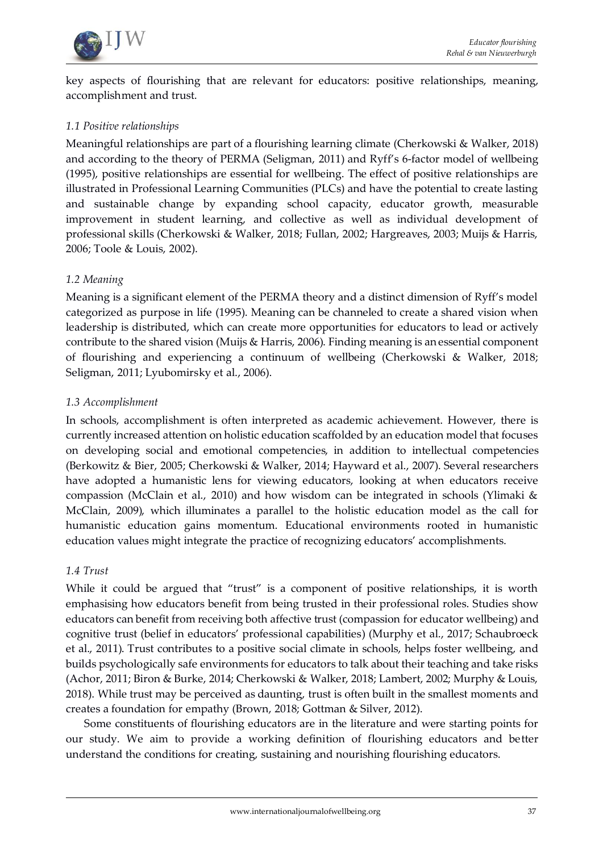

key aspects of flourishing that are relevant for educators: positive relationships, meaning, accomplishment and trust.

#### *1.1 Positive relationships*

Meaningful relationships are part of a flourishing learning climate (Cherkowski & Walker, 2018) and according to the theory of PERMA (Seligman, 2011) and Ryff's 6-factor model of wellbeing (1995), positive relationships are essential for wellbeing. The effect of positive relationships are illustrated in Professional Learning Communities (PLCs) and have the potential to create lasting and sustainable change by expanding school capacity, educator growth, measurable improvement in student learning, and collective as well as individual development of professional skills (Cherkowski & Walker, 2018; Fullan, 2002; Hargreaves, 2003; Muijs & Harris, 2006; Toole & Louis, 2002).

#### *1.2 Meaning*

Meaning is a significant element of the PERMA theory and a distinct dimension of Ryff's model categorized as purpose in life (1995). Meaning can be channeled to create a shared vision when leadership is distributed, which can create more opportunities for educators to lead or actively contribute to the shared vision (Muijs & Harris, 2006). Finding meaning is an essential component of flourishing and experiencing a continuum of wellbeing (Cherkowski & Walker, 2018; Seligman, 2011; Lyubomirsky et al., 2006).

#### *1.3 Accomplishment*

In schools, accomplishment is often interpreted as academic achievement. However, there is currently increased attention on holistic education scaffolded by an education model that focuses on developing social and emotional competencies, in addition to intellectual competencies (Berkowitz & Bier, 2005; Cherkowski & Walker, 2014; Hayward et al., 2007). Several researchers have adopted a humanistic lens for viewing educators, looking at when educators receive compassion (McClain et al., 2010) and how wisdom can be integrated in schools (Ylimaki & McClain, 2009), which illuminates a parallel to the holistic education model as the call for humanistic education gains momentum. Educational environments rooted in humanistic education values might integrate the practice of recognizing educators' accomplishments.

#### *1.4 Trust*

While it could be argued that "trust" is a component of positive relationships, it is worth emphasising how educators benefit from being trusted in their professional roles. Studies show educators can benefit from receiving both affective trust (compassion for educator wellbeing) and cognitive trust (belief in educators' professional capabilities) (Murphy et al., 2017; Schaubroeck et al., 2011). Trust contributes to a positive social climate in schools, helps foster wellbeing, and builds psychologically safe environments for educators to talk about their teaching and take risks (Achor, 2011; Biron & Burke, 2014; Cherkowski & Walker, 2018; Lambert, 2002; Murphy & Louis, 2018). While trust may be perceived as daunting, trust is often built in the smallest moments and creates a foundation for empathy (Brown, 2018; Gottman & Silver, 2012).

Some constituents of flourishing educators are in the literature and were starting points for our study. We aim to provide a working definition of flourishing educators and better understand the conditions for creating, sustaining and nourishing flourishing educators.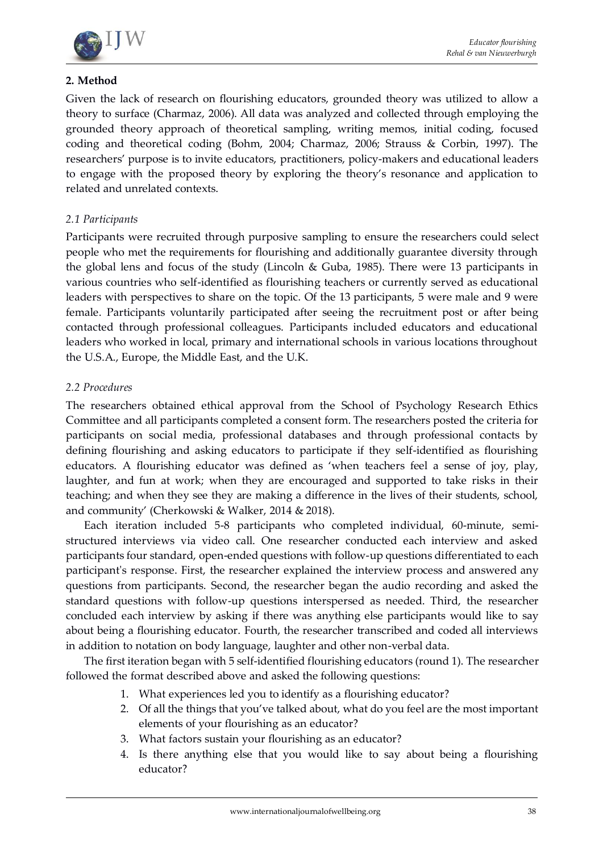

### **2. Method**

Given the lack of research on flourishing educators, grounded theory was utilized to allow a theory to surface (Charmaz, 2006). All data was analyzed and collected through employing the grounded theory approach of theoretical sampling, writing memos, initial coding, focused coding and theoretical coding (Bohm, 2004; Charmaz, 2006; Strauss & Corbin, 1997). The researchers' purpose is to invite educators, practitioners, policy-makers and educational leaders to engage with the proposed theory by exploring the theory's resonance and application to related and unrelated contexts.

### *2.1 Participants*

Participants were recruited through purposive sampling to ensure the researchers could select people who met the requirements for flourishing and additionally guarantee diversity through the global lens and focus of the study (Lincoln & Guba, 1985). There were 13 participants in various countries who self-identified as flourishing teachers or currently served as educational leaders with perspectives to share on the topic. Of the 13 participants, 5 were male and 9 were female. Participants voluntarily participated after seeing the recruitment post or after being contacted through professional colleagues. Participants included educators and educational leaders who worked in local, primary and international schools in various locations throughout the U.S.A., Europe, the Middle East, and the U.K.

#### *2.2 Procedures*

The researchers obtained ethical approval from the School of Psychology Research Ethics Committee and all participants completed a consent form. The researchers posted the criteria for participants on social media, professional databases and through professional contacts by defining flourishing and asking educators to participate if they self-identified as flourishing educators. A flourishing educator was defined as 'when teachers feel a sense of joy, play, laughter, and fun at work; when they are encouraged and supported to take risks in their teaching; and when they see they are making a difference in the lives of their students, school, and community' (Cherkowski & Walker, 2014 & 2018).

Each iteration included 5-8 participants who completed individual, 60-minute, semistructured interviews via video call. One researcher conducted each interview and asked participants four standard, open-ended questions with follow-up questions differentiated to each participant's response. First, the researcher explained the interview process and answered any questions from participants. Second, the researcher began the audio recording and asked the standard questions with follow-up questions interspersed as needed. Third, the researcher concluded each interview by asking if there was anything else participants would like to say about being a flourishing educator. Fourth, the researcher transcribed and coded all interviews in addition to notation on body language, laughter and other non-verbal data.

The first iteration began with 5 self-identified flourishing educators (round 1). The researcher followed the format described above and asked the following questions:

- 1. What experiences led you to identify as a flourishing educator?
- 2. Of all the things that you've talked about, what do you feel are the most important elements of your flourishing as an educator?
- 3. What factors sustain your flourishing as an educator?
- 4. Is there anything else that you would like to say about being a flourishing educator?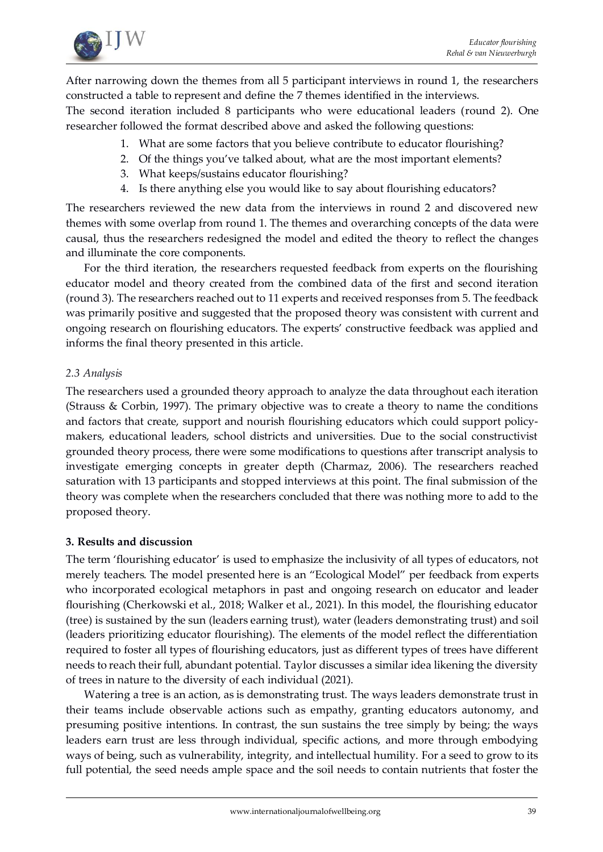

After narrowing down the themes from all 5 participant interviews in round 1, the researchers constructed a table to represent and define the 7 themes identified in the interviews.

The second iteration included 8 participants who were educational leaders (round 2). One researcher followed the format described above and asked the following questions:

- 1. What are some factors that you believe contribute to educator flourishing?
- 2. Of the things you've talked about, what are the most important elements?
- 3. What keeps/sustains educator flourishing?
- 4. Is there anything else you would like to say about flourishing educators?

The researchers reviewed the new data from the interviews in round 2 and discovered new themes with some overlap from round 1. The themes and overarching concepts of the data were causal, thus the researchers redesigned the model and edited the theory to reflect the changes and illuminate the core components.

For the third iteration, the researchers requested feedback from experts on the flourishing educator model and theory created from the combined data of the first and second iteration (round 3). The researchers reached out to 11 experts and received responses from 5. The feedback was primarily positive and suggested that the proposed theory was consistent with current and ongoing research on flourishing educators. The experts' constructive feedback was applied and informs the final theory presented in this article.

### *2.3 Analysis*

The researchers used a grounded theory approach to analyze the data throughout each iteration (Strauss & Corbin, 1997). The primary objective was to create a theory to name the conditions and factors that create, support and nourish flourishing educators which could support policymakers, educational leaders, school districts and universities. Due to the social constructivist grounded theory process, there were some modifications to questions after transcript analysis to investigate emerging concepts in greater depth (Charmaz, 2006). The researchers reached saturation with 13 participants and stopped interviews at this point. The final submission of the theory was complete when the researchers concluded that there was nothing more to add to the proposed theory.

### **3. Results and discussion**

The term 'flourishing educator' is used to emphasize the inclusivity of all types of educators, not merely teachers. The model presented here is an "Ecological Model" per feedback from experts who incorporated ecological metaphors in past and ongoing research on educator and leader flourishing (Cherkowski et al., 2018; Walker et al., 2021). In this model, the flourishing educator (tree) is sustained by the sun (leaders earning trust), water (leaders demonstrating trust) and soil (leaders prioritizing educator flourishing). The elements of the model reflect the differentiation required to foster all types of flourishing educators, just as different types of trees have different needs to reach their full, abundant potential. Taylor discusses a similar idea likening the diversity of trees in nature to the diversity of each individual (2021).

Watering a tree is an action, as is demonstrating trust. The ways leaders demonstrate trust in their teams include observable actions such as empathy, granting educators autonomy, and presuming positive intentions. In contrast, the sun sustains the tree simply by being; the ways leaders earn trust are less through individual, specific actions, and more through embodying ways of being, such as vulnerability, integrity, and intellectual humility. For a seed to grow to its full potential, the seed needs ample space and the soil needs to contain nutrients that foster the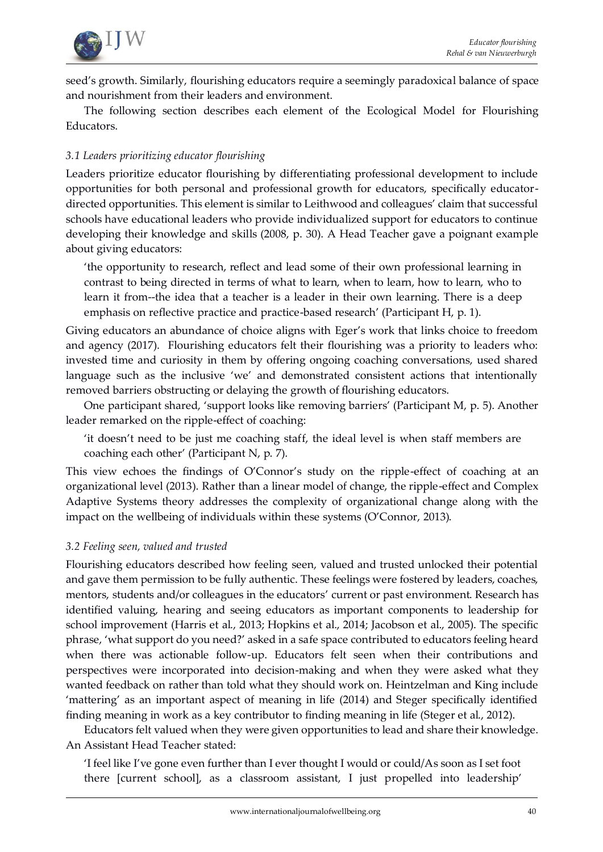

seed's growth. Similarly, flourishing educators require a seemingly paradoxical balance of space and nourishment from their leaders and environment.

The following section describes each element of the Ecological Model for Flourishing Educators.

# *3.1 Leaders prioritizing educator flourishing*

Leaders prioritize educator flourishing by differentiating professional development to include opportunities for both personal and professional growth for educators, specifically educatordirected opportunities. This element is similar to Leithwood and colleagues' claim that successful schools have educational leaders who provide individualized support for educators to continue developing their knowledge and skills (2008, p. 30). A Head Teacher gave a poignant example about giving educators:

'the opportunity to research, reflect and lead some of their own professional learning in contrast to being directed in terms of what to learn, when to learn, how to learn, who to learn it from--the idea that a teacher is a leader in their own learning. There is a deep emphasis on reflective practice and practice-based research' (Participant H, p. 1).

Giving educators an abundance of choice aligns with Eger's work that links choice to freedom and agency (2017). Flourishing educators felt their flourishing was a priority to leaders who: invested time and curiosity in them by offering ongoing coaching conversations, used shared language such as the inclusive 'we' and demonstrated consistent actions that intentionally removed barriers obstructing or delaying the growth of flourishing educators.

One participant shared, 'support looks like removing barriers' (Participant M, p. 5). Another leader remarked on the ripple-effect of coaching:

'it doesn't need to be just me coaching staff, the ideal level is when staff members are coaching each other' (Participant N, p. 7).

This view echoes the findings of O'Connor's study on the ripple-effect of coaching at an organizational level (2013). Rather than a linear model of change, the ripple-effect and Complex Adaptive Systems theory addresses the complexity of organizational change along with the impact on the wellbeing of individuals within these systems (O'Connor, 2013).

### *3.2 Feeling seen, valued and trusted*

Flourishing educators described how feeling seen, valued and trusted unlocked their potential and gave them permission to be fully authentic. These feelings were fostered by leaders, coaches, mentors, students and/or colleagues in the educators' current or past environment. Research has identified valuing, hearing and seeing educators as important components to leadership for school improvement (Harris et al., 2013; Hopkins et al., 2014; Jacobson et al., 2005). The specific phrase, 'what support do you need?' asked in a safe space contributed to educators feeling heard when there was actionable follow-up. Educators felt seen when their contributions and perspectives were incorporated into decision-making and when they were asked what they wanted feedback on rather than told what they should work on. Heintzelman and King include 'mattering' as an important aspect of meaning in life (2014) and Steger specifically identified finding meaning in work as a key contributor to finding meaning in life (Steger et al., 2012).

Educators felt valued when they were given opportunities to lead and share their knowledge. An Assistant Head Teacher stated:

'I feel like I've gone even further than I ever thought I would or could/As soon as I set foot there [current school], as a classroom assistant, I just propelled into leadership'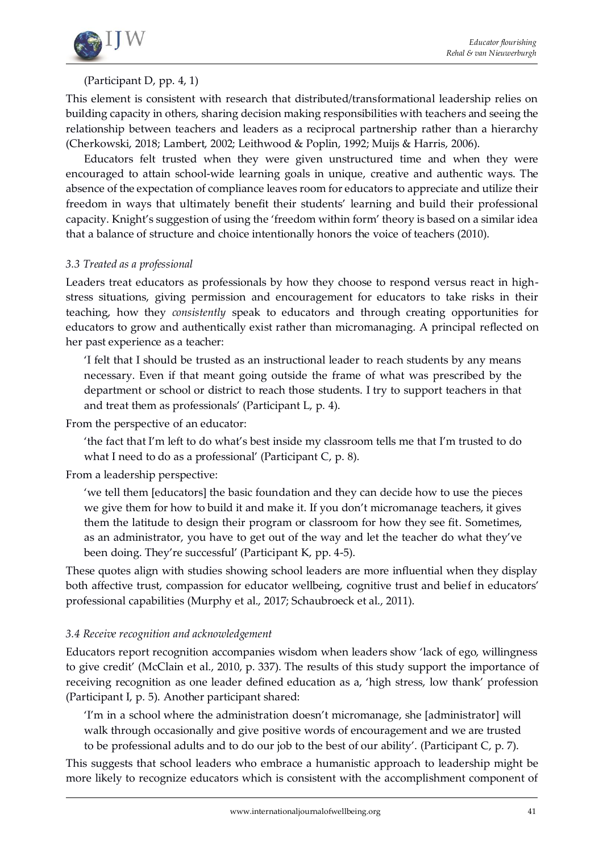

# (Participant D, pp. 4, 1)

This element is consistent with research that distributed/transformational leadership relies on building capacity in others, sharing decision making responsibilities with teachers and seeing the relationship between teachers and leaders as a reciprocal partnership rather than a hierarchy (Cherkowski, 2018; Lambert, 2002; Leithwood & Poplin, 1992; Muijs & Harris, 2006).

Educators felt trusted when they were given unstructured time and when they were encouraged to attain school-wide learning goals in unique, creative and authentic ways. The absence of the expectation of compliance leaves room for educators to appreciate and utilize their freedom in ways that ultimately benefit their students' learning and build their professional capacity. Knight's suggestion of using the 'freedom within form' theory is based on a similar idea that a balance of structure and choice intentionally honors the voice of teachers (2010).

#### *3.3 Treated as a professional*

Leaders treat educators as professionals by how they choose to respond versus react in highstress situations, giving permission and encouragement for educators to take risks in their teaching, how they *consistently* speak to educators and through creating opportunities for educators to grow and authentically exist rather than micromanaging. A principal reflected on her past experience as a teacher:

'I felt that I should be trusted as an instructional leader to reach students by any means necessary. Even if that meant going outside the frame of what was prescribed by the department or school or district to reach those students. I try to support teachers in that and treat them as professionals' (Participant L, p. 4).

From the perspective of an educator:

'the fact that I'm left to do what's best inside my classroom tells me that I'm trusted to do what I need to do as a professional' (Participant C, p. 8).

From a leadership perspective:

'we tell them [educators] the basic foundation and they can decide how to use the pieces we give them for how to build it and make it. If you don't micromanage teachers, it gives them the latitude to design their program or classroom for how they see fit. Sometimes, as an administrator, you have to get out of the way and let the teacher do what they've been doing. They're successful' (Participant K, pp. 4-5).

These quotes align with studies showing school leaders are more influential when they display both affective trust, compassion for educator wellbeing, cognitive trust and belief in educators' professional capabilities (Murphy et al., 2017; Schaubroeck et al., 2011).

### *3.4 Receive recognition and acknowledgement*

Educators report recognition accompanies wisdom when leaders show 'lack of ego, willingness to give credit' (McClain et al., 2010, p. 337). The results of this study support the importance of receiving recognition as one leader defined education as a, 'high stress, low thank' profession (Participant I, p. 5). Another participant shared:

'I'm in a school where the administration doesn't micromanage, she [administrator] will walk through occasionally and give positive words of encouragement and we are trusted to be professional adults and to do our job to the best of our ability'. (Participant C, p. 7).

This suggests that school leaders who embrace a humanistic approach to leadership might be more likely to recognize educators which is consistent with the accomplishment component of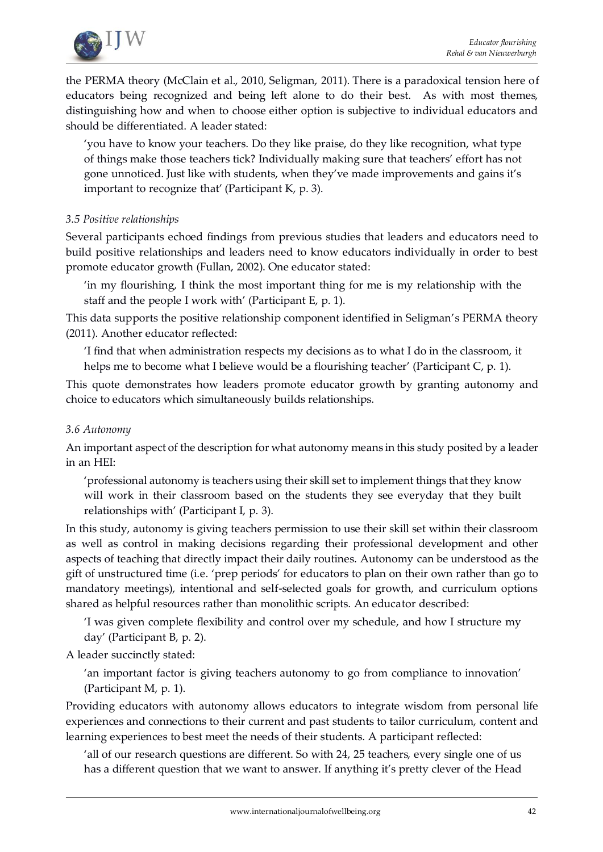

the PERMA theory (McClain et al., 2010, Seligman, 2011). There is a paradoxical tension here of educators being recognized and being left alone to do their best. As with most themes, distinguishing how and when to choose either option is subjective to individual educators and should be differentiated. A leader stated:

'you have to know your teachers. Do they like praise, do they like recognition, what type of things make those teachers tick? Individually making sure that teachers' effort has not gone unnoticed. Just like with students, when they've made improvements and gains it's important to recognize that' (Participant K, p. 3).

#### *3.5 Positive relationships*

Several participants echoed findings from previous studies that leaders and educators need to build positive relationships and leaders need to know educators individually in order to best promote educator growth (Fullan, 2002). One educator stated:

'in my flourishing, I think the most important thing for me is my relationship with the staff and the people I work with' (Participant E, p. 1).

This data supports the positive relationship component identified in Seligman's PERMA theory (2011). Another educator reflected:

'I find that when administration respects my decisions as to what I do in the classroom, it helps me to become what I believe would be a flourishing teacher' (Participant C, p. 1).

This quote demonstrates how leaders promote educator growth by granting autonomy and choice to educators which simultaneously builds relationships.

#### *3.6 Autonomy*

An important aspect of the description for what autonomy means in this study posited by a leader in an HEI:

'professional autonomy is teachers using their skill set to implement things that they know will work in their classroom based on the students they see everyday that they built relationships with' (Participant I, p. 3).

In this study, autonomy is giving teachers permission to use their skill set within their classroom as well as control in making decisions regarding their professional development and other aspects of teaching that directly impact their daily routines. Autonomy can be understood as the gift of unstructured time (i.e. 'prep periods' for educators to plan on their own rather than go to mandatory meetings), intentional and self-selected goals for growth, and curriculum options shared as helpful resources rather than monolithic scripts. An educator described:

'I was given complete flexibility and control over my schedule, and how I structure my day' (Participant B, p. 2).

A leader succinctly stated:

'an important factor is giving teachers autonomy to go from compliance to innovation' (Participant M, p. 1).

Providing educators with autonomy allows educators to integrate wisdom from personal life experiences and connections to their current and past students to tailor curriculum, content and learning experiences to best meet the needs of their students. A participant reflected:

'all of our research questions are different. So with 24, 25 teachers, every single one of us has a different question that we want to answer. If anything it's pretty clever of the Head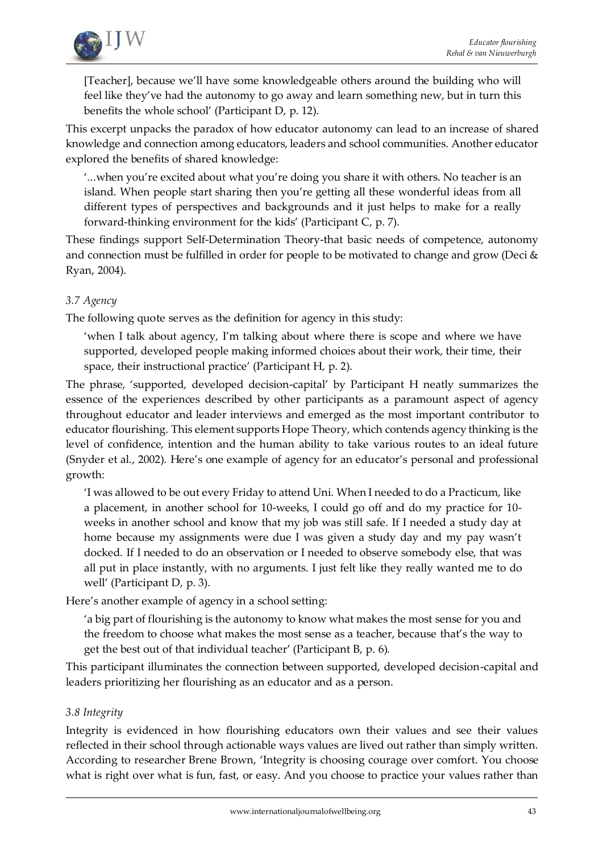

[Teacher], because we'll have some knowledgeable others around the building who will feel like they've had the autonomy to go away and learn something new, but in turn this benefits the whole school' (Participant D, p. 12).

This excerpt unpacks the paradox of how educator autonomy can lead to an increase of shared knowledge and connection among educators, leaders and school communities. Another educator explored the benefits of shared knowledge:

'...when you're excited about what you're doing you share it with others. No teacher is an island. When people start sharing then you're getting all these wonderful ideas from all different types of perspectives and backgrounds and it just helps to make for a really forward-thinking environment for the kids' (Participant C, p. 7).

These findings support Self-Determination Theory-that basic needs of competence, autonomy and connection must be fulfilled in order for people to be motivated to change and grow (Deci & Ryan, 2004).

# *3.7 Agency*

The following quote serves as the definition for agency in this study:

'when I talk about agency, I'm talking about where there is scope and where we have supported, developed people making informed choices about their work, their time, their space, their instructional practice' (Participant H, p. 2).

The phrase, 'supported, developed decision-capital' by Participant H neatly summarizes the essence of the experiences described by other participants as a paramount aspect of agency throughout educator and leader interviews and emerged as the most important contributor to educator flourishing. This element supports Hope Theory, which contends agency thinking is the level of confidence, intention and the human ability to take various routes to an ideal future (Snyder et al., 2002). Here's one example of agency for an educator's personal and professional growth:

'I was allowed to be out every Friday to attend Uni. When I needed to do a Practicum, like a placement, in another school for 10-weeks, I could go off and do my practice for 10 weeks in another school and know that my job was still safe. If I needed a study day at home because my assignments were due I was given a study day and my pay wasn't docked. If I needed to do an observation or I needed to observe somebody else, that was all put in place instantly, with no arguments. I just felt like they really wanted me to do well' (Participant D, p. 3).

Here's another example of agency in a school setting:

'a big part of flourishing is the autonomy to know what makes the most sense for you and the freedom to choose what makes the most sense as a teacher, because that's the way to get the best out of that individual teacher' (Participant B, p. 6).

This participant illuminates the connection between supported, developed decision-capital and leaders prioritizing her flourishing as an educator and as a person.

### *3.8 Integrity*

Integrity is evidenced in how flourishing educators own their values and see their values reflected in their school through actionable ways values are lived out rather than simply written. According to researcher Brene Brown, 'Integrity is choosing courage over comfort. You choose what is right over what is fun, fast, or easy. And you choose to practice your values rather than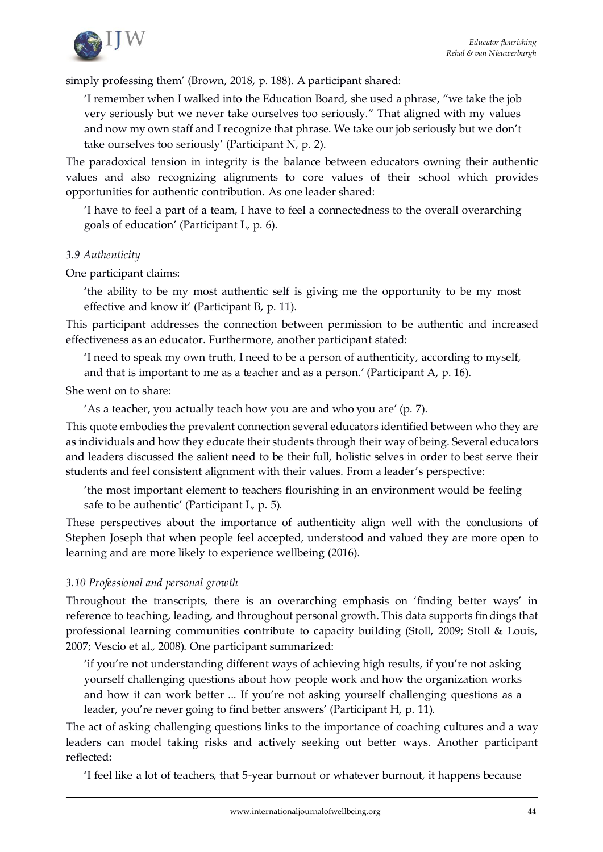

simply professing them' (Brown, 2018, p. 188). A participant shared:

'I remember when I walked into the Education Board, she used a phrase, "we take the job very seriously but we never take ourselves too seriously." That aligned with my values and now my own staff and I recognize that phrase. We take our job seriously but we don't take ourselves too seriously' (Participant N, p. 2).

The paradoxical tension in integrity is the balance between educators owning their authentic values and also recognizing alignments to core values of their school which provides opportunities for authentic contribution. As one leader shared:

'I have to feel a part of a team, I have to feel a connectedness to the overall overarching goals of education' (Participant L, p. 6).

#### *3.9 Authenticity*

One participant claims:

'the ability to be my most authentic self is giving me the opportunity to be my most effective and know it' (Participant B, p. 11).

This participant addresses the connection between permission to be authentic and increased effectiveness as an educator. Furthermore, another participant stated:

'I need to speak my own truth, I need to be a person of authenticity, according to myself,

and that is important to me as a teacher and as a person.' (Participant A, p. 16).

She went on to share:

'As a teacher, you actually teach how you are and who you are' (p. 7).

This quote embodies the prevalent connection several educators identified between who they are as individuals and how they educate their students through their way of being. Several educators and leaders discussed the salient need to be their full, holistic selves in order to best serve their students and feel consistent alignment with their values. From a leader's perspective:

'the most important element to teachers flourishing in an environment would be feeling safe to be authentic' (Participant L, p. 5).

These perspectives about the importance of authenticity align well with the conclusions of Stephen Joseph that when people feel accepted, understood and valued they are more open to learning and are more likely to experience wellbeing (2016).

### *3.10 Professional and personal growth*

Throughout the transcripts, there is an overarching emphasis on 'finding better ways' in reference to teaching, leading, and throughout personal growth. This data supports findings that professional learning communities contribute to capacity building (Stoll, 2009; Stoll & Louis, 2007; Vescio et al., 2008). One participant summarized:

'if you're not understanding different ways of achieving high results, if you're not asking yourself challenging questions about how people work and how the organization works and how it can work better ... If you're not asking yourself challenging questions as a leader, you're never going to find better answers' (Participant H, p. 11).

The act of asking challenging questions links to the importance of coaching cultures and a way leaders can model taking risks and actively seeking out better ways. Another participant reflected:

'I feel like a lot of teachers, that 5-year burnout or whatever burnout, it happens because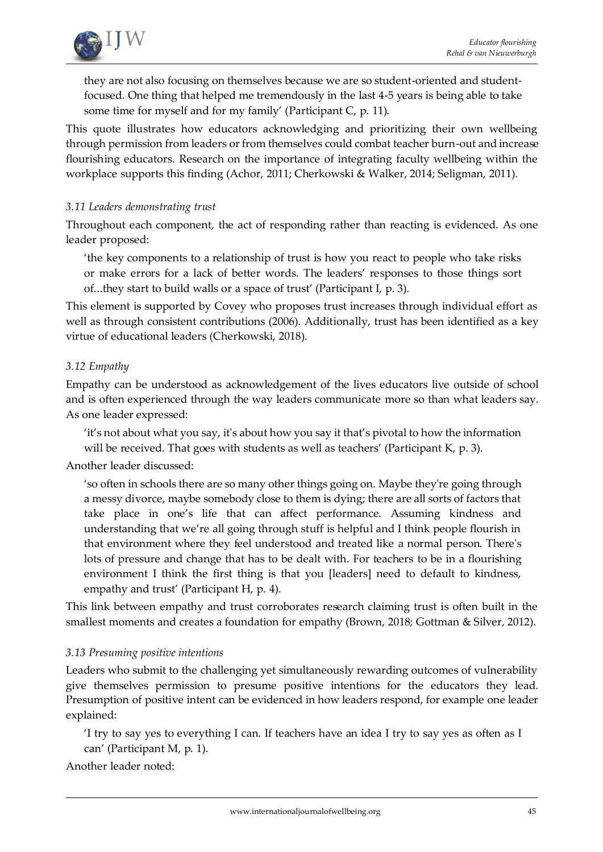

they are not also focusing on themselves because we are so student-oriented and studentfocused. One thing that helped me tremendously in the last 4-5 years is being able to take some time for myself and for my family' (Participant C, p. 11).

This quote illustrates how educators acknowledging and prioritizing their own wellbeing through permission from leaders or from themselves could combat teacher burn-out and increase flourishing educators. Research on the importance of integrating faculty wellbeing within the workplace supports this finding (Achor, 2011; Cherkowski & Walker, 2014; Seligman, 2011).

#### *3.11 Leaders demonstrating trust*

Throughout each component, the act of responding rather than reacting is evidenced. As one leader proposed:

'the key components to a relationship of trust is how you react to people who take risks or make errors for a lack of better words. The leaders' responses to those things sort of...they start to build walls or a space of trust' (Participant I, p. 3).

This element is supported by Covey who proposes trust increases through individual effort as well as through consistent contributions (2006). Additionally, trust has been identified as a key virtue of educational leaders (Cherkowski, 2018).

#### *3.12 Empathy*

Empathy can be understood as acknowledgement of the lives educators live outside of school and is often experienced through the way leaders communicate more so than what leaders say. As one leader expressed:

'it's not about what you say, it's about how you say it that's pivotal to how the information will be received. That goes with students as well as teachers' (Participant K, p. 3).

Another leader discussed:

'so often in schools there are so many other things going on. Maybe they're going through a messy divorce, maybe somebody close to them is dying; there are all sorts of factors that take place in one's life that can affect performance. Assuming kindness and understanding that we're all going through stuff is helpful and I think people flourish in that environment where they feel understood and treated like a normal person. There's lots of pressure and change that has to be dealt with. For teachers to be in a flourishing environment I think the first thing is that you [leaders] need to default to kindness, empathy and trust' (Participant H, p. 4).

This link between empathy and trust corroborates research claiming trust is often built in the smallest moments and creates a foundation for empathy (Brown, 2018; Gottman & Silver, 2012).

#### *3.13 Presuming positive intentions*

Leaders who submit to the challenging yet simultaneously rewarding outcomes of vulnerability give themselves permission to presume positive intentions for the educators they lead. Presumption of positive intent can be evidenced in how leaders respond, for example one leader explained:

'I try to say yes to everything I can. If teachers have an idea I try to say yes as often as I can' (Participant M, p. 1).

Another leader noted: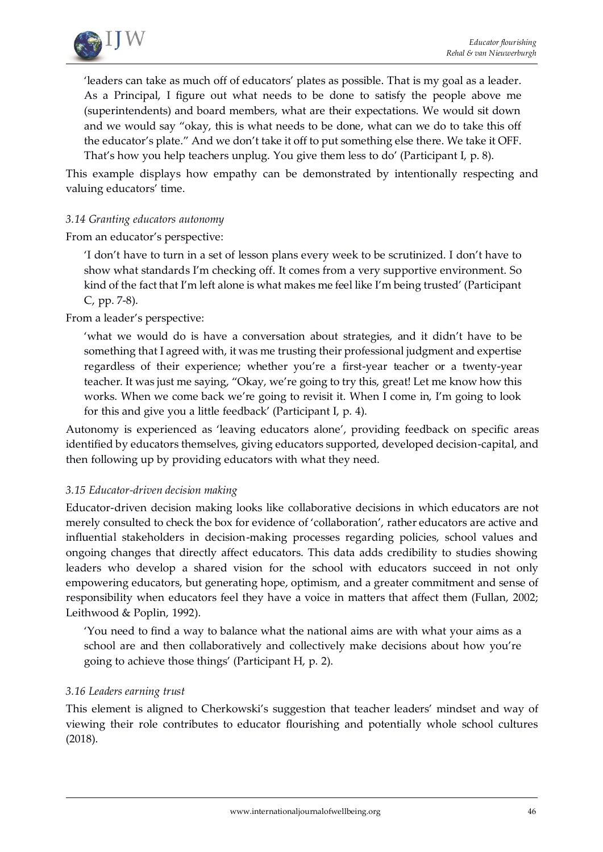

'leaders can take as much off of educators' plates as possible. That is my goal as a leader. As a Principal, I figure out what needs to be done to satisfy the people above me (superintendents) and board members, what are their expectations. We would sit down and we would say "okay, this is what needs to be done, what can we do to take this off the educator's plate." And we don't take it off to put something else there. We take it OFF. That's how you help teachers unplug. You give them less to do' (Participant I, p. 8).

This example displays how empathy can be demonstrated by intentionally respecting and valuing educators' time.

#### *3.14 Granting educators autonomy*

From an educator's perspective:

'I don't have to turn in a set of lesson plans every week to be scrutinized. I don't have to show what standards I'm checking off. It comes from a very supportive environment. So kind of the fact that I'm left alone is what makes me feel like I'm being trusted' (Participant C, pp. 7-8).

From a leader's perspective:

'what we would do is have a conversation about strategies, and it didn't have to be something that I agreed with, it was me trusting their professional judgment and expertise regardless of their experience; whether you're a first-year teacher or a twenty-year teacher. It was just me saying, "Okay, we're going to try this, great! Let me know how this works. When we come back we're going to revisit it. When I come in, I'm going to look for this and give you a little feedback' (Participant I, p. 4).

Autonomy is experienced as 'leaving educators alone', providing feedback on specific areas identified by educators themselves, giving educators supported, developed decision-capital, and then following up by providing educators with what they need.

#### *3.15 Educator-driven decision making*

Educator-driven decision making looks like collaborative decisions in which educators are not merely consulted to check the box for evidence of 'collaboration', rather educators are active and influential stakeholders in decision-making processes regarding policies, school values and ongoing changes that directly affect educators. This data adds credibility to studies showing leaders who develop a shared vision for the school with educators succeed in not only empowering educators, but generating hope, optimism, and a greater commitment and sense of responsibility when educators feel they have a voice in matters that affect them (Fullan, 2002; Leithwood & Poplin, 1992).

'You need to find a way to balance what the national aims are with what your aims as a school are and then collaboratively and collectively make decisions about how you're going to achieve those things' (Participant H, p. 2).

#### *3.16 Leaders earning trust*

This element is aligned to Cherkowski's suggestion that teacher leaders' mindset and way of viewing their role contributes to educator flourishing and potentially whole school cultures (2018).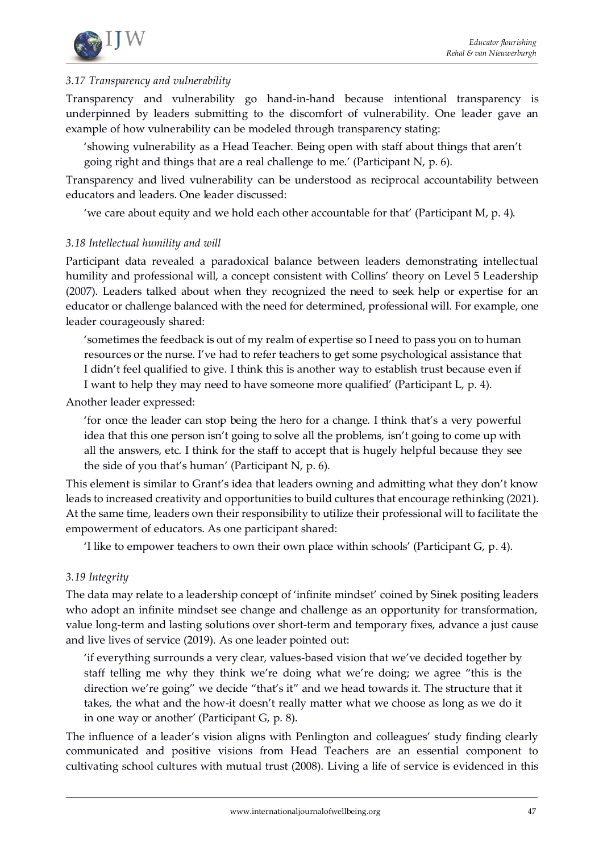

### *3.17 Transparency and vulnerability*

Transparency and vulnerability go hand-in-hand because intentional transparency is underpinned by leaders submitting to the discomfort of vulnerability. One leader gave an example of how vulnerability can be modeled through transparency stating:

'showing vulnerability as a Head Teacher. Being open with staff about things that aren't going right and things that are a real challenge to me.' (Participant N, p. 6).

Transparency and lived vulnerability can be understood as reciprocal accountability between educators and leaders. One leader discussed:

'we care about equity and we hold each other accountable for that' (Participant M, p. 4).

#### *3.18 Intellectual humility and will*

Participant data revealed a paradoxical balance between leaders demonstrating intellectual humility and professional will, a concept consistent with Collins' theory on Level 5 Leadership (2007). Leaders talked about when they recognized the need to seek help or expertise for an educator or challenge balanced with the need for determined, professional will. For example, one leader courageously shared:

'sometimes the feedback is out of my realm of expertise so I need to pass you on to human resources or the nurse. I've had to refer teachers to get some psychological assistance that I didn't feel qualified to give. I think this is another way to establish trust because even if I want to help they may need to have someone more qualified' (Participant L, p. 4).

Another leader expressed:

'for once the leader can stop being the hero for a change. I think that's a very powerful idea that this one person isn't going to solve all the problems, isn't going to come up with all the answers, etc. I think for the staff to accept that is hugely helpful because they see the side of you that's human' (Participant N, p. 6).

This element is similar to Grant's idea that leaders owning and admitting what they don't know leads to increased creativity and opportunities to build cultures that encourage rethinking (2021). At the same time, leaders own their responsibility to utilize their professional will to facilitate the empowerment of educators. As one participant shared:

'I like to empower teachers to own their own place within schools' (Participant G, p. 4).

### *3.19 Integrity*

The data may relate to a leadership concept of 'infinite mindset' coined by Sinek positing leaders who adopt an infinite mindset see change and challenge as an opportunity for transformation, value long-term and lasting solutions over short-term and temporary fixes, advance a just cause and live lives of service (2019). As one leader pointed out:

'if everything surrounds a very clear, values-based vision that we've decided together by staff telling me why they think we're doing what we're doing; we agree "this is the direction we're going" we decide "that's it" and we head towards it. The structure that it takes, the what and the how-it doesn't really matter what we choose as long as we do it in one way or another' (Participant G, p. 8).

The influence of a leader's vision aligns with Penlington and colleagues' study finding clearly communicated and positive visions from Head Teachers are an essential component to cultivating school cultures with mutual trust (2008). Living a life of service is evidenced in this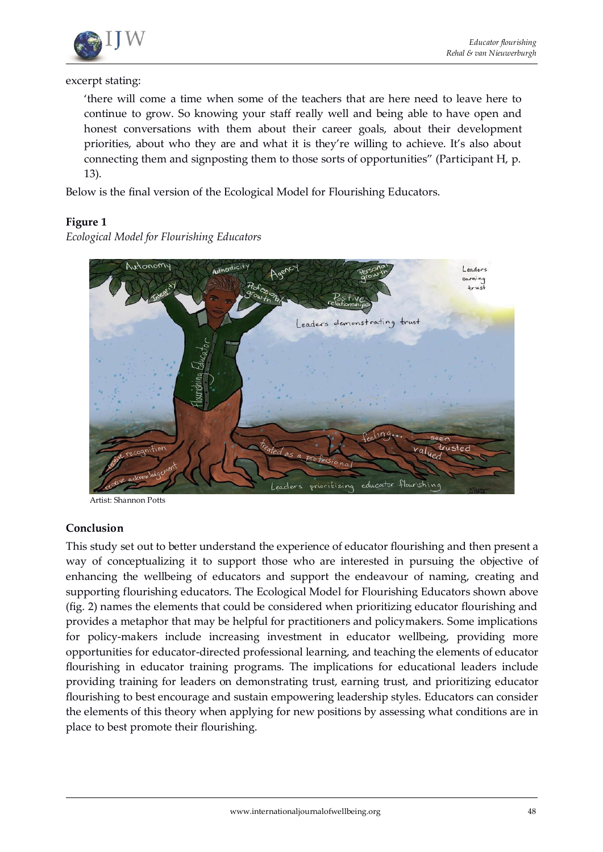

excerpt stating:

'there will come a time when some of the teachers that are here need to leave here to continue to grow. So knowing your staff really well and being able to have open and honest conversations with them about their career goals, about their development priorities, about who they are and what it is they're willing to achieve. It's also about connecting them and signposting them to those sorts of opportunities" (Participant H, p. 13).

Below is the final version of the Ecological Model for Flourishing Educators.

### **Figure 1**

Adherticit Autonomy  $leodes$ ning leaders demonstrating trust prioritizing educator flourishing

*Ecological Model for Flourishing Educators*

Artist: Shannon Potts

#### **Conclusion**

This study set out to better understand the experience of educator flourishing and then present a way of conceptualizing it to support those who are interested in pursuing the objective of enhancing the wellbeing of educators and support the endeavour of naming, creating and supporting flourishing educators. The Ecological Model for Flourishing Educators shown above (fig. 2) names the elements that could be considered when prioritizing educator flourishing and provides a metaphor that may be helpful for practitioners and policymakers. Some implications for policy-makers include increasing investment in educator wellbeing, providing more opportunities for educator-directed professional learning, and teaching the elements of educator flourishing in educator training programs. The implications for educational leaders include providing training for leaders on demonstrating trust, earning trust, and prioritizing educator flourishing to best encourage and sustain empowering leadership styles. Educators can consider the elements of this theory when applying for new positions by assessing what conditions are in place to best promote their flourishing.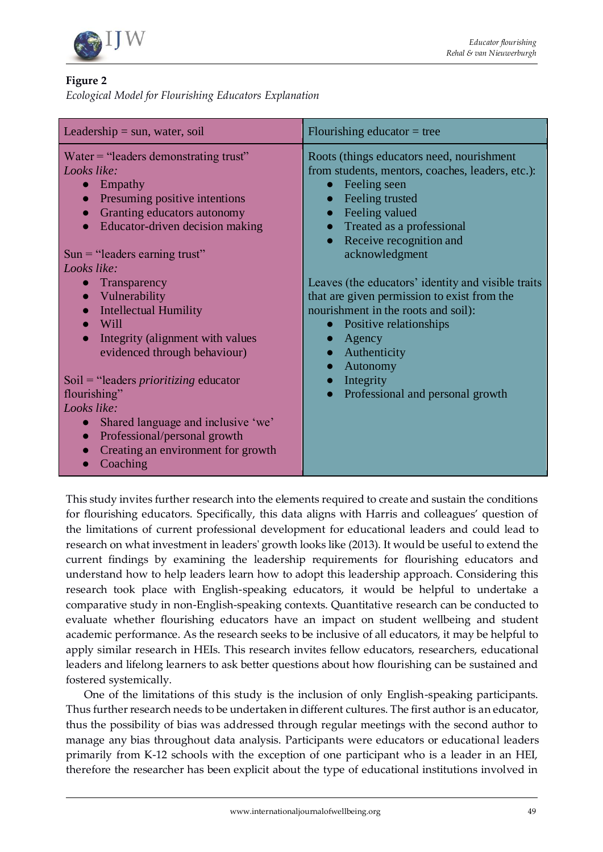

# **Figure 2**

*Ecological Model for Flourishing Educators Explanation*

| Leadership $=$ sun, water, soil                                                                                                                                                                                                                                            | Flourishing educator $=$ tree                                                                                                                                                                                                        |
|----------------------------------------------------------------------------------------------------------------------------------------------------------------------------------------------------------------------------------------------------------------------------|--------------------------------------------------------------------------------------------------------------------------------------------------------------------------------------------------------------------------------------|
| Water $=$ "leaders demonstrating trust"<br>Looks like:<br>Empathy<br>$\bullet$<br>Presuming positive intentions<br>$\bullet$<br>Granting educators autonomy<br>$\bullet$<br>Educator-driven decision making<br>$\bullet$<br>$Sun = "leading eraming trust"$<br>Looks like: | Roots (things educators need, nourishment<br>from students, mentors, coaches, leaders, etc.):<br>Feeling seen<br>• Feeling trusted<br>• Feeling valued<br>• Treated as a professional<br>• Receive recognition and<br>acknowledgment |
| Transparency<br>Vulnerability<br><b>Intellectual Humility</b><br>Will<br>Integrity (alignment with values<br>evidenced through behaviour)                                                                                                                                  | Leaves (the educators' identity and visible traits<br>that are given permission to exist from the<br>nourishment in the roots and soil):<br>• Positive relationships<br>Agency<br>• Authenticity<br>Autonomy                         |
| $Soil = "leading prioritizing education$<br>flourishing"<br>Looks like:<br>Shared language and inclusive 'we'<br>$\bullet$<br>Professional/personal growth<br>$\bullet$<br>Creating an environment for growth<br>$\bullet$<br>Coaching                                     | Integrity<br>$\bullet$<br>Professional and personal growth                                                                                                                                                                           |

This study invites further research into the elements required to create and sustain the conditions for flourishing educators. Specifically, this data aligns with Harris and colleagues' question of the limitations of current professional development for educational leaders and could lead to research on what investment in leaders' growth looks like (2013). It would be useful to extend the current findings by examining the leadership requirements for flourishing educators and understand how to help leaders learn how to adopt this leadership approach. Considering this research took place with English-speaking educators, it would be helpful to undertake a comparative study in non-English-speaking contexts. Quantitative research can be conducted to evaluate whether flourishing educators have an impact on student wellbeing and student academic performance. As the research seeks to be inclusive of all educators, it may be helpful to apply similar research in HEIs. This research invites fellow educators, researchers, educational leaders and lifelong learners to ask better questions about how flourishing can be sustained and fostered systemically.

One of the limitations of this study is the inclusion of only English-speaking participants. Thus further research needs to be undertaken in different cultures. The first author is an educator, thus the possibility of bias was addressed through regular meetings with the second author to manage any bias throughout data analysis. Participants were educators or educational leaders primarily from K-12 schools with the exception of one participant who is a leader in an HEI, therefore the researcher has been explicit about the type of educational institutions involved in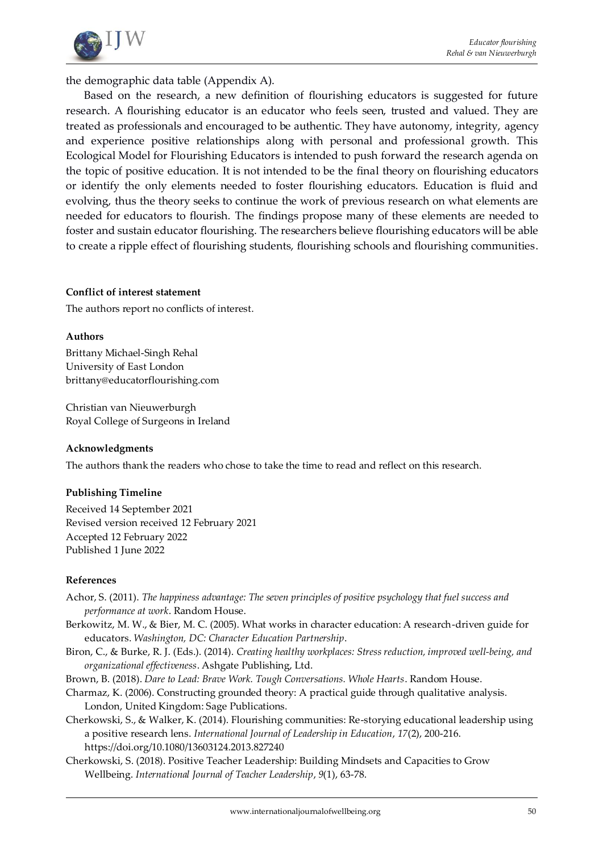

the demographic data table (Appendix A).

Based on the research, a new definition of flourishing educators is suggested for future research. A flourishing educator is an educator who feels seen, trusted and valued. They are treated as professionals and encouraged to be authentic. They have autonomy, integrity, agency and experience positive relationships along with personal and professional growth. This Ecological Model for Flourishing Educators is intended to push forward the research agenda on the topic of positive education. It is not intended to be the final theory on flourishing educators or identify the only elements needed to foster flourishing educators. Education is fluid and evolving, thus the theory seeks to continue the work of previous research on what elements are needed for educators to flourish. The findings propose many of these elements are needed to foster and sustain educator flourishing. The researchers believe flourishing educators will be able to create a ripple effect of flourishing students, flourishing schools and flourishing communities.

#### **Conflict of interest statement**

The authors report no conflicts of interest.

#### **Authors**

Brittany Michael-Singh Rehal University of East London brittany@educatorflourishing.com

Christian van Nieuwerburgh Royal College of Surgeons in Ireland

#### **Acknowledgments**

The authors thank the readers who chose to take the time to read and reflect on this research.

#### **Publishing Timeline**

Received 14 September 2021 Revised version received 12 February 2021 Accepted 12 February 2022 Published 1 June 2022

#### **References**

- Achor, S. (2011). *The happiness advantage: The seven principles of positive psychology that fuel success and performance at work*. Random House.
- Berkowitz, M. W., & Bier, M. C. (2005). What works in character education: A research-driven guide for educators. *Washington, DC: Character Education Partnership*.
- Biron, C., & Burke, R. J. (Eds.). (2014). *Creating healthy workplaces: Stress reduction, improved well-being, and organizational effectiveness*. Ashgate Publishing, Ltd.
- Brown, B. (2018). *Dare to Lead: Brave Work. Tough Conversations. Whole Hearts*. Random House.
- Charmaz, K. (2006). Constructing grounded theory: A practical guide through qualitative analysis. London, United Kingdom: Sage Publications.
- Cherkowski, S., & Walker, K. (2014). Flourishing communities: Re-storying educational leadership using a positive research lens. *International Journal of Leadership in Education*, *17*(2), 200-216. https://doi.org/10.1080/13603124.2013.827240
- Cherkowski, S. (2018). Positive Teacher Leadership: Building Mindsets and Capacities to Grow Wellbeing. *International Journal of Teacher Leadership*, *9*(1), 63-78.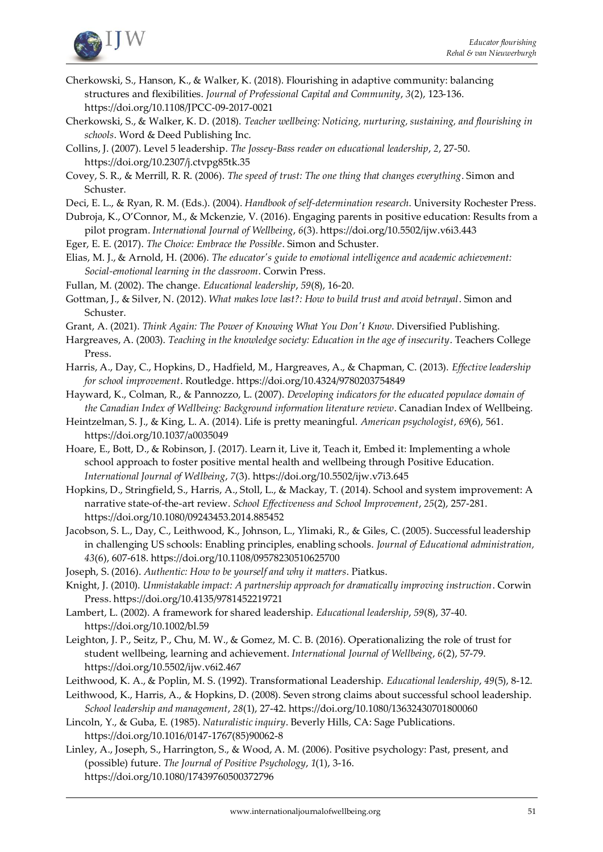

- Cherkowski, S., Hanson, K., & Walker, K. (2018). Flourishing in adaptive community: balancing structures and flexibilities. *Journal of Professional Capital and Community*, *3*(2), 123-136. https://doi.org/10.1108/JPCC-09-2017-0021
- Cherkowski, S., & Walker, K. D. (2018). *Teacher wellbeing: Noticing, nurturing, sustaining, and flourishing in schools*. Word & Deed Publishing Inc.
- Collins, J. (2007). Level 5 leadership. *The Jossey-Bass reader on educational leadership*, *2*, 27-50. https://doi.org/10.2307/j.ctvpg85tk.35
- Covey, S. R., & Merrill, R. R. (2006). *The speed of trust: The one thing that changes everything*. Simon and Schuster.
- Deci, E. L., & Ryan, R. M. (Eds.). (2004). *Handbook of self-determination research*. University Rochester Press.
- Dubroja, K., O'Connor, M., & Mckenzie, V. (2016). Engaging parents in positive education: Results from a pilot program. *International Journal of Wellbeing*, *6*(3)[. https://doi.org/10.5502/ijw.v6i3.443](https://doi.org/10.5502/ijw.v6i3.443)
- Eger, E. E. (2017). *The Choice: Embrace the Possible*. Simon and Schuster.
- Elias, M. J., & Arnold, H. (2006). *The educator's guide to emotional intelligence and academic achievement: Social-emotional learning in the classroom*. Corwin Press.
- Fullan, M. (2002). The change. *Educational leadership*, *59*(8), 16-20.
- Gottman, J., & Silver, N. (2012). *What makes love last?: How to build trust and avoid betrayal*. Simon and Schuster.
- Grant, A. (2021). *Think Again: The Power of Knowing What You Don't Know*. Diversified Publishing.
- Hargreaves, A. (2003). *Teaching in the knowledge society: Education in the age of insecurity*. Teachers College Press.
- Harris, A., Day, C., Hopkins, D., Hadfield, M., Hargreaves, A., & Chapman, C. (2013). *Effective leadership for school improvement*. Routledge. https://doi.org/10.4324/9780203754849
- Hayward, K., Colman, R., & Pannozzo, L. (2007). *Developing indicators for the educated populace domain of the Canadian Index of Wellbeing: Background information literature review*. Canadian Index of Wellbeing.
- Heintzelman, S. J., & King, L. A. (2014). Life is pretty meaningful. *American psychologist*, *69*(6), 561. https://doi.org/10.1037/a0035049
- Hoare, E., Bott, D., & Robinson, J. (2017). Learn it, Live it, Teach it, Embed it: Implementing a whole school approach to foster positive mental health and wellbeing through Positive Education. *International Journal of Wellbeing*, *7*(3)[. https://doi.org/10.5502/ijw.v7i3.645](https://doi.org/10.5502/ijw.v7i3.645)
- Hopkins, D., Stringfield, S., Harris, A., Stoll, L., & Mackay, T. (2014). School and system improvement: A narrative state-of-the-art review. *School Effectiveness and School Improvement*, *25*(2), 257-281. https://doi.org/10.1080/09243453.2014.885452
- Jacobson, S. L., Day, C., Leithwood, K., Johnson, L., Ylimaki, R., & Giles, C. (2005). Successful leadership in challenging US schools: Enabling principles, enabling schools. *Journal of Educational administration, 43*(6), 607-618. https://doi.org/10.1108/09578230510625700
- Joseph, S. (2016). *Authentic: How to be yourself and why it matters*. Piatkus.
- Knight, J. (2010). *Unmistakable impact: A partnership approach for dramatically improving instruction*. Corwin Press. https://doi.org/10.4135/9781452219721
- Lambert, L. (2002). A framework for shared leadership. *Educational leadership*, *59*(8), 37-40. https://doi.org/10.1002/bl.59
- Leighton, J. P., Seitz, P., Chu, M. W., & Gomez, M. C. B. (2016). Operationalizing the role of trust for student wellbeing, learning and achievement. *International Journal of Wellbeing*, *6*(2), 57-79. <https://doi.org/10.5502/ijw.v6i2.467>
- Leithwood, K. A., & Poplin, M. S. (1992). Transformational Leadership. *Educational leadership*, *49*(5), 8-12.
- Leithwood, K., Harris, A., & Hopkins, D. (2008). Seven strong claims about successful school leadership. *School leadership and management*, *28*(1), 27-42. https://doi.org/10.1080/13632430701800060
- Lincoln, Y., & Guba, E. (1985). *Naturalistic inquiry*. Beverly Hills, CA: Sage Publications. https://doi.org/10.1016/0147-1767(85)90062-8
- Linley, A., Joseph, S., Harrington, S., & Wood, A. M. (2006). Positive psychology: Past, present, and (possible) future. *The Journal of Positive Psychology*, *1*(1), 3-16. <https://doi.org/10.1080/17439760500372796>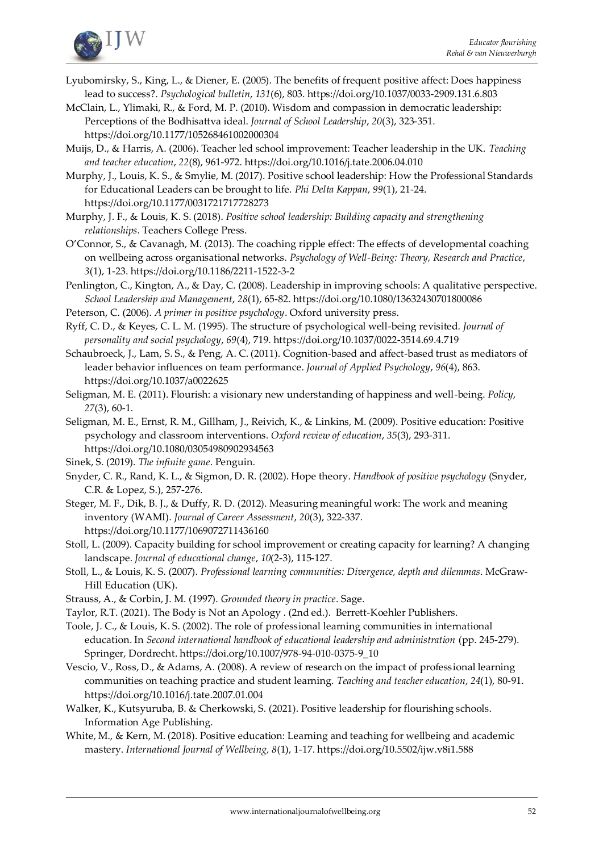

- Lyubomirsky, S., King, L., & Diener, E. (2005). The benefits of frequent positive affect: Does happiness lead to success?. *Psychological bulletin*, *131*(6), 803. https://doi.org/10.1037/0033-2909.131.6.803
- McClain, L., Ylimaki, R., & Ford, M. P. (2010). Wisdom and compassion in democratic leadership: Perceptions of the Bodhisattva ideal. *Journal of School Leadership*, *20*(3), 323-351. https://doi.org/10.1177/105268461002000304
- Muijs, D., & Harris, A. (2006). Teacher led school improvement: Teacher leadership in the UK. *Teaching and teacher education*, *22*(8), 961-972. https://doi.org/10.1016/j.tate.2006.04.010
- Murphy, J., Louis, K. S., & Smylie, M. (2017). Positive school leadership: How the Professional Standards for Educational Leaders can be brought to life. *Phi Delta Kappan*, *99*(1), 21-24. https://doi.org/10.1177/0031721717728273
- Murphy, J. F., & Louis, K. S. (2018). *Positive school leadership: Building capacity and strengthening relationships*. Teachers College Press.
- O'Connor, S., & Cavanagh, M. (2013). The coaching ripple effect: The effects of developmental coaching on wellbeing across organisational networks. *Psychology of Well-Being: Theory, Research and Practice*, *3*(1), 1-23. https://doi.org/10.1186/2211-1522-3-2

Penlington, C., Kington, A., & Day, C. (2008). Leadership in improving schools: A qualitative perspective. *School Leadership and Management*, *28*(1), 65-82. https://doi.org/10.1080/13632430701800086

- Peterson, C. (2006). *A primer in positive psychology*. Oxford university press.
- Ryff, C. D., & Keyes, C. L. M. (1995). The structure of psychological well-being revisited. *Journal of personality and social psychology*, *69*(4), 719. https://doi.org/10.1037/0022-3514.69.4.719
- Schaubroeck, J., Lam, S. S., & Peng, A. C. (2011). Cognition-based and affect-based trust as mediators of leader behavior influences on team performance. *Journal of Applied Psychology*, *96*(4), 863. https://doi.org/10.1037/a0022625
- Seligman, M. E. (2011). Flourish: a visionary new understanding of happiness and well-being. *Policy*, *27*(3), 60-1.
- Seligman, M. E., Ernst, R. M., Gillham, J., Reivich, K., & Linkins, M. (2009). Positive education: Positive psychology and classroom interventions. *Oxford review of education*, *35*(3), 293-311. https://doi.org/10.1080/03054980902934563
- Sinek, S. (2019). *The infinite game*. Penguin.
- Snyder, C. R., Rand, K. L., & Sigmon, D. R. (2002). Hope theory. *Handbook of positive psychology* (Snyder, C.R. & Lopez, S.), 257-276.
- Steger, M. F., Dik, B. J., & Duffy, R. D. (2012). Measuring meaningful work: The work and meaning inventory (WAMI). *Journal of Career Assessment*, *20*(3), 322-337. https://doi.org/10.1177/1069072711436160
- Stoll, L. (2009). Capacity building for school improvement or creating capacity for learning? A changing landscape. *Journal of educational change*, *10*(2-3), 115-127.
- Stoll, L., & Louis, K. S. (2007). *Professional learning communities: Divergence, depth and dilemmas*. McGraw-Hill Education (UK).
- Strauss, A., & Corbin, J. M. (1997). *Grounded theory in practice*. Sage.
- Taylor, R.T. (2021). The Body is Not an Apology . (2nd ed.). Berrett-Koehler Publishers.
- Toole, J. C., & Louis, K. S. (2002). The role of professional learning communities in international education. In *Second international handbook of educational leadership and administration* (pp. 245-279). Springer, Dordrecht. https://doi.org/10.1007/978-94-010-0375-9\_10
- Vescio, V., Ross, D., & Adams, A. (2008). A review of research on the impact of professional learning communities on teaching practice and student learning. *Teaching and teacher education*, *24*(1), 80-91. https://doi.org/10.1016/j.tate.2007.01.004
- Walker, K., Kutsyuruba, B. & Cherkowski, S. (2021). Positive leadership for flourishing schools. Information Age Publishing.
- White, M., & Kern, M. (2018). Positive education: Learning and teaching for wellbeing and academic mastery. *International Journal of Wellbeing, 8*(1), 1-17*.* <https://doi.org/10.5502/ijw.v8i1.588>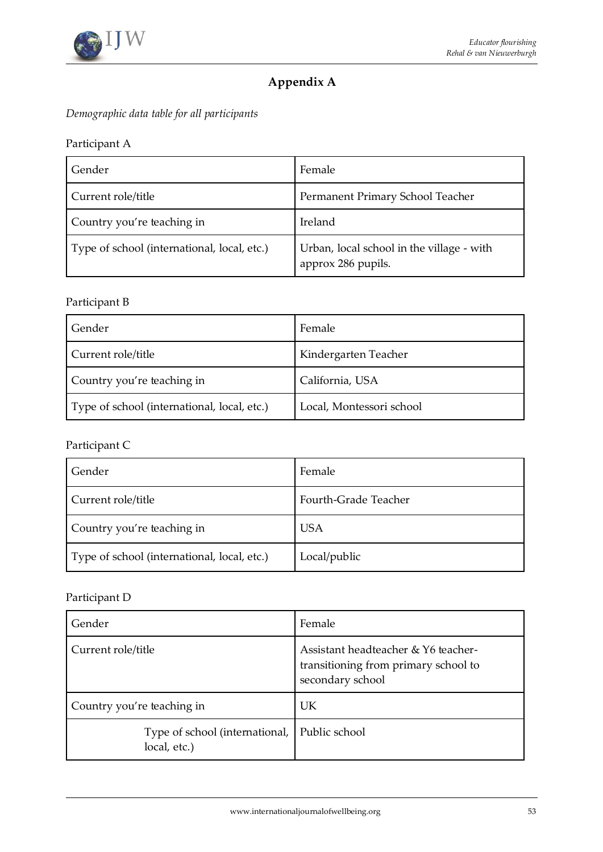

# **Appendix A**

*Demographic data table for all participants*

# Participant A

| Gender                                      | Female                                                          |
|---------------------------------------------|-----------------------------------------------------------------|
| Current role/title                          | Permanent Primary School Teacher                                |
| Country you're teaching in                  | Ireland                                                         |
| Type of school (international, local, etc.) | Urban, local school in the village - with<br>approx 286 pupils. |

# Participant B

| Gender                                      | Female                   |
|---------------------------------------------|--------------------------|
| Current role/title                          | Kindergarten Teacher     |
| Country you're teaching in                  | California, USA          |
| Type of school (international, local, etc.) | Local, Montessori school |

# Participant C

| Gender                                      | Female               |
|---------------------------------------------|----------------------|
| Current role/title                          | Fourth-Grade Teacher |
| Country you're teaching in                  | <b>USA</b>           |
| Type of school (international, local, etc.) | Local/public         |

# Participant D

| Gender                                         | Female                                                                                          |
|------------------------------------------------|-------------------------------------------------------------------------------------------------|
| Current role/title                             | Assistant headteacher & Y6 teacher-<br>transitioning from primary school to<br>secondary school |
| Country you're teaching in                     | UK                                                                                              |
| Type of school (international,<br>local, etc.) | Public school                                                                                   |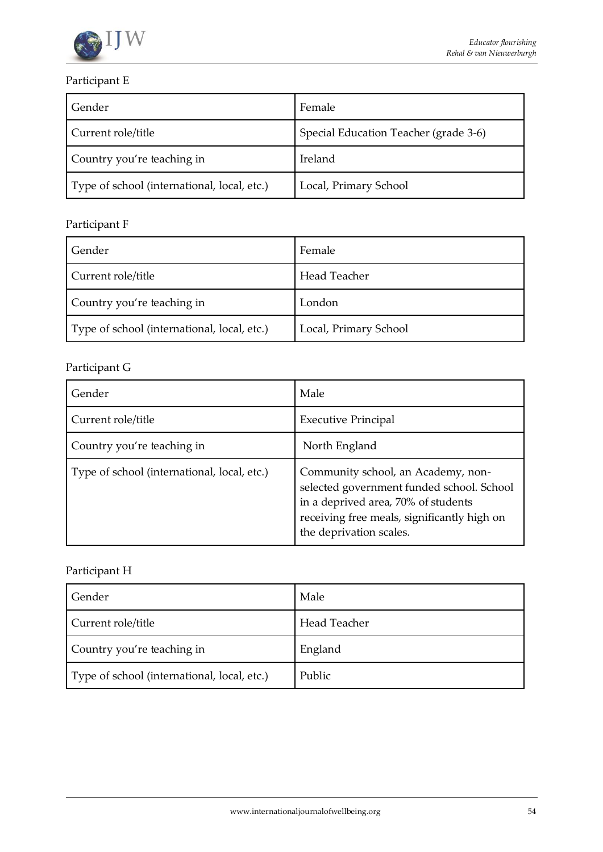

# Participant E

| Gender                                      | Female                                |
|---------------------------------------------|---------------------------------------|
| Current role/title                          | Special Education Teacher (grade 3-6) |
| Country you're teaching in                  | Ireland                               |
| Type of school (international, local, etc.) | Local, Primary School                 |

# Participant F

| Gender                                      | Female                |
|---------------------------------------------|-----------------------|
| Current role/title                          | Head Teacher          |
| Country you're teaching in                  | London                |
| Type of school (international, local, etc.) | Local, Primary School |

# Participant G

| Gender                                      | Male                                                                                                                                                                                             |
|---------------------------------------------|--------------------------------------------------------------------------------------------------------------------------------------------------------------------------------------------------|
| Current role/title                          | <b>Executive Principal</b>                                                                                                                                                                       |
| Country you're teaching in                  | North England                                                                                                                                                                                    |
| Type of school (international, local, etc.) | Community school, an Academy, non-<br>selected government funded school. School<br>in a deprived area, 70% of students<br>receiving free meals, significantly high on<br>the deprivation scales. |

# Participant H

| Gender                                      | Male         |
|---------------------------------------------|--------------|
| Current role/title                          | Head Teacher |
| Country you're teaching in                  | England      |
| Type of school (international, local, etc.) | Public       |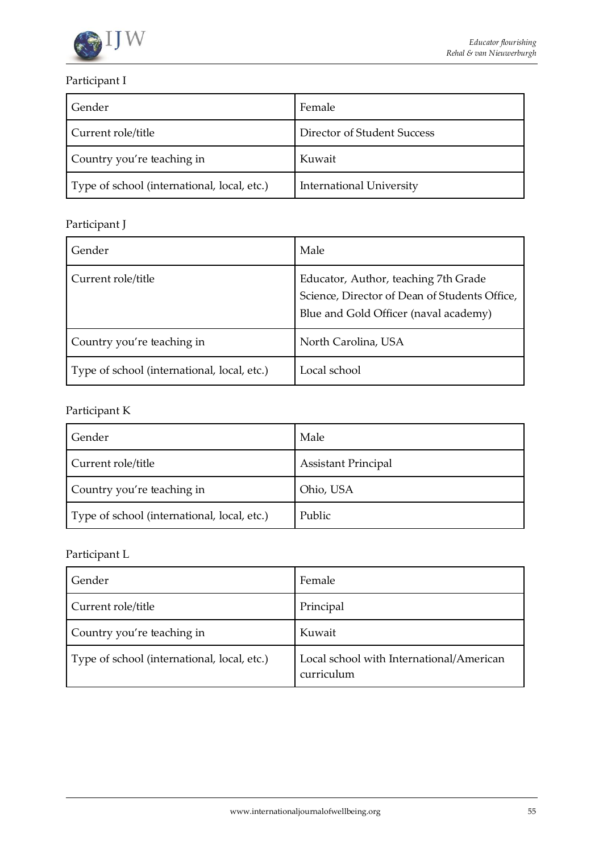

# Participant I

| Gender                                      | Female                          |
|---------------------------------------------|---------------------------------|
| Current role/title                          | Director of Student Success     |
| Country you're teaching in                  | Kuwait                          |
| Type of school (international, local, etc.) | <b>International University</b> |

# Participant J

| Gender                                      | Male                                                                                                                           |
|---------------------------------------------|--------------------------------------------------------------------------------------------------------------------------------|
| Current role/title                          | Educator, Author, teaching 7th Grade<br>Science, Director of Dean of Students Office,<br>Blue and Gold Officer (naval academy) |
| Country you're teaching in                  | North Carolina, USA                                                                                                            |
| Type of school (international, local, etc.) | Local school                                                                                                                   |

# Participant K

| Gender                                      | Male                       |
|---------------------------------------------|----------------------------|
| Current role/title                          | <b>Assistant Principal</b> |
| Country you're teaching in                  | Ohio, USA                  |
| Type of school (international, local, etc.) | Public                     |

# Participant L

| Gender                                      | Female                                                 |
|---------------------------------------------|--------------------------------------------------------|
| Current role/title                          | Principal                                              |
| Country you're teaching in                  | Kuwait                                                 |
| Type of school (international, local, etc.) | Local school with International/American<br>curriculum |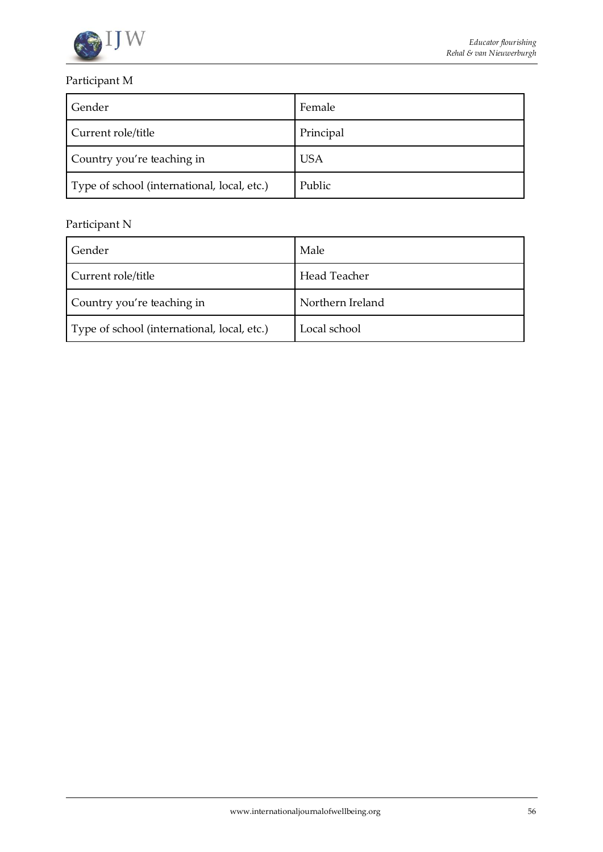

# Participant M

| Gender                                      | Female     |
|---------------------------------------------|------------|
| Current role/title                          | Principal  |
| Country you're teaching in                  | <b>USA</b> |
| Type of school (international, local, etc.) | Public     |

# Participant N

| Gender                                      | Male             |
|---------------------------------------------|------------------|
| Current role/title                          | Head Teacher     |
| Country you're teaching in                  | Northern Ireland |
| Type of school (international, local, etc.) | Local school     |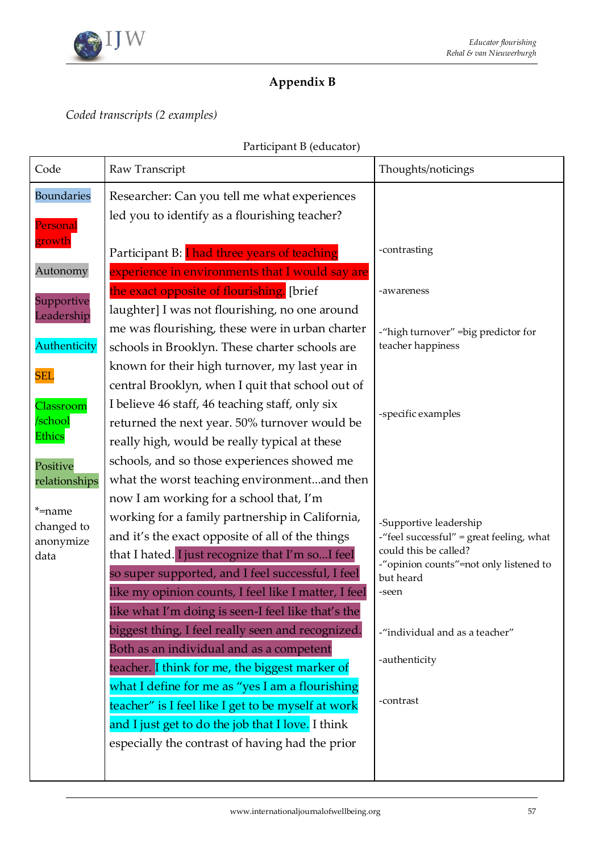

# **Appendix B**

*Coded transcripts (2 examples)*

| Participant B (educator) |  |
|--------------------------|--|
|--------------------------|--|

| Code                 | Raw Transcript                                       | Thoughts/noticings                                              |
|----------------------|------------------------------------------------------|-----------------------------------------------------------------|
| <b>Boundaries</b>    | Researcher: Can you tell me what experiences         |                                                                 |
| Personal             | led you to identify as a flourishing teacher?        |                                                                 |
| growth               |                                                      |                                                                 |
|                      | Participant B: I had three years of teaching         | -contrasting                                                    |
| Autonomy             | experience in environments that I would say are      |                                                                 |
| Supportive           | the exact opposite of flourishing. [brief            | -awareness                                                      |
| Leadership           | laughter] I was not flourishing, no one around       |                                                                 |
|                      | me was flourishing, these were in urban charter      | -"high turnover" = big predictor for                            |
| Authenticity         | schools in Brooklyn. These charter schools are       | teacher happiness                                               |
| <b>SEL</b>           | known for their high turnover, my last year in       |                                                                 |
|                      | central Brooklyn, when I quit that school out of     |                                                                 |
| Classroom            | I believe 46 staff, 46 teaching staff, only six      | -specific examples                                              |
| /school              | returned the next year. 50% turnover would be        |                                                                 |
| <b>Ethics</b>        | really high, would be really typical at these        |                                                                 |
| Positive             | schools, and so those experiences showed me          |                                                                 |
| relationships        | what the worst teaching environmentand then          |                                                                 |
|                      | now I am working for a school that, I'm              |                                                                 |
| *=name<br>changed to | working for a family partnership in California,      | -Supportive leadership                                          |
| anonymize            | and it's the exact opposite of all of the things     | -"feel successful" = great feeling, what                        |
| data                 | that I hated. I just recognize that I'm so I feel    | could this be called?<br>-"opinion counts"=not only listened to |
|                      | so super supported, and I feel successful, I feel    | but heard                                                       |
|                      | like my opinion counts, I feel like I matter, I feel | -seen                                                           |
|                      | like what I'm doing is seen-I feel like that's the   |                                                                 |
|                      | biggest thing, I feel really seen and recognized.    | -"individual and as a teacher"                                  |
|                      | Both as an individual and as a competent             |                                                                 |
|                      | teacher. I think for me, the biggest marker of       | -authenticity                                                   |
|                      | what I define for me as "yes I am a flourishing      |                                                                 |
|                      | teacher" is I feel like I get to be myself at work   | -contrast                                                       |
|                      | and I just get to do the job that I love. I think    |                                                                 |
|                      | especially the contrast of having had the prior      |                                                                 |
|                      |                                                      |                                                                 |
|                      |                                                      |                                                                 |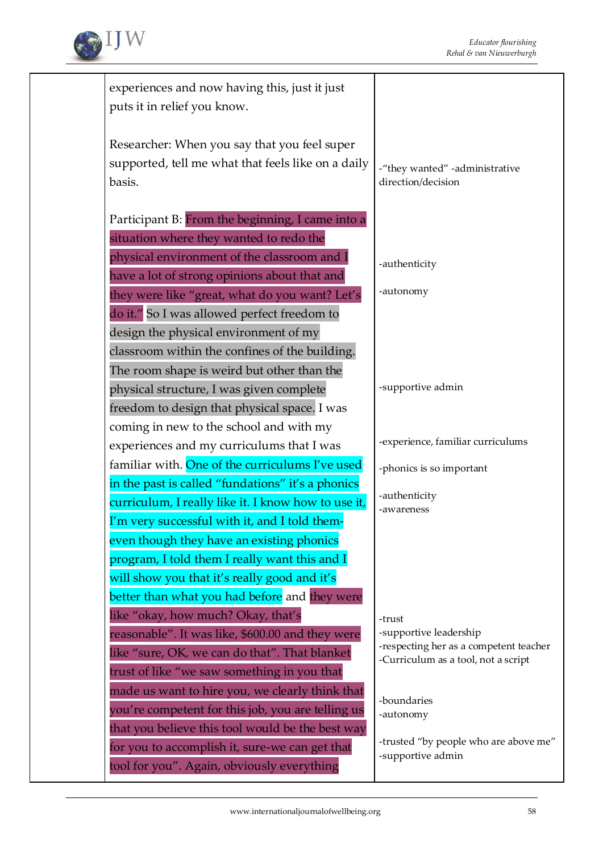

| experiences and now having this, just it just<br>puts it in relief you know. |                                                                  |
|------------------------------------------------------------------------------|------------------------------------------------------------------|
|                                                                              |                                                                  |
| Researcher: When you say that you feel super                                 |                                                                  |
| supported, tell me what that feels like on a daily                           |                                                                  |
| basis.                                                                       | -"they wanted" -administrative<br>direction/decision             |
|                                                                              |                                                                  |
| Participant B: From the beginning, I came into a                             |                                                                  |
| situation where they wanted to redo the                                      |                                                                  |
| physical environment of the classroom and I                                  |                                                                  |
| have a lot of strong opinions about that and                                 | -authenticity                                                    |
| they were like "great, what do you want? Let's                               | -autonomy                                                        |
| do it." So I was allowed perfect freedom to                                  |                                                                  |
| design the physical environment of my                                        |                                                                  |
| classroom within the confines of the building.                               |                                                                  |
| The room shape is weird but other than the                                   |                                                                  |
| physical structure, I was given complete                                     | -supportive admin                                                |
| freedom to design that physical space. I was                                 |                                                                  |
| coming in new to the school and with my                                      |                                                                  |
| experiences and my curriculums that I was                                    | -experience, familiar curriculums                                |
| familiar with. One of the curriculums I've used                              | -phonics is so important                                         |
| in the past is called "fundations" it's a phonics                            |                                                                  |
| curriculum, I really like it. I know how to use it,                          | -authenticity<br>-awareness                                      |
| I'm very successful with it, and I told them-                                |                                                                  |
| even though they have an existing phonics                                    |                                                                  |
| program, I told them I really want this and I                                |                                                                  |
| will show you that it's really good and it's                                 |                                                                  |
| better than what you had before and they were                                |                                                                  |
| like "okay, how much? Okay, that's                                           | -trust                                                           |
| reasonable". It was like, \$600.00 and they were                             | -supportive leadership<br>-respecting her as a competent teacher |
| like "sure, OK, we can do that". That blanket                                | -Curriculum as a tool, not a script                              |
| trust of like "we saw something in you that                                  |                                                                  |
| made us want to hire you, we clearly think that                              | -boundaries                                                      |
| you're competent for this job, you are telling us                            | -autonomy                                                        |
| that you believe this tool would be the best way                             |                                                                  |
| for you to accomplish it, sure-we can get that                               | -trusted "by people who are above me"<br>-supportive admin       |
| tool for you". Again, obviously everything                                   |                                                                  |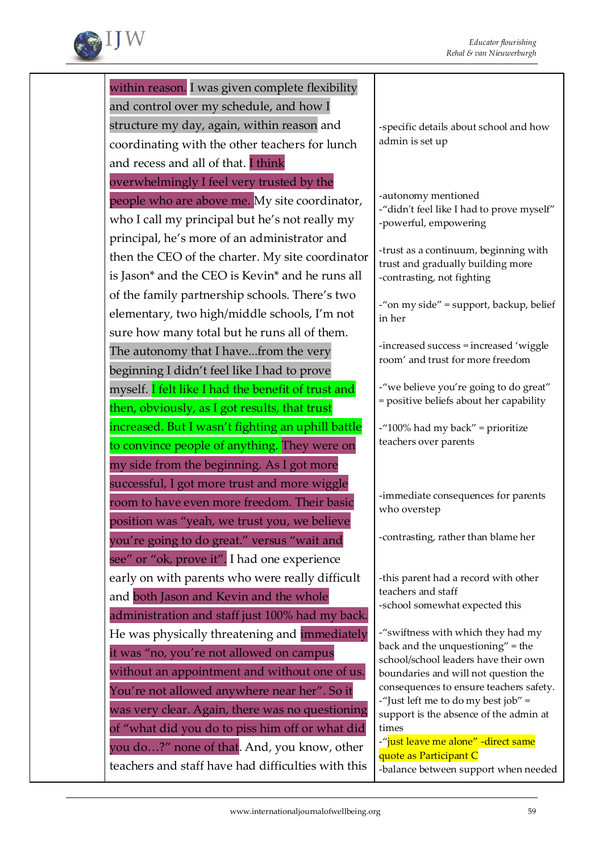

within reason. I was given complete flexibility and control over my schedule, and how I structure my day, again, within reason and coordinating with the other teachers for lunch and recess and all of that. I think overwhelmingly I feel very trusted by the people who are above me. My site coordinator, who I call my principal but he's not really my principal, he's more of an administrator and then the CEO of the charter. My site coordinator is Jason\* and the CEO is Kevin\* and he runs all of the family partnership schools. There's two elementary, two high/middle schools, I'm not sure how many total but he runs all of them. The autonomy that I have...from the very beginning I didn't feel like I had to prove myself. I felt like I had the benefit of trust and then, obviously, as I got results, that trust increased. But I wasn't fighting an uphill battle to convince people of anything. They were on my side from the beginning. As I got more successful, I got more trust and more wiggle room to have even more freedom. Their basic position was "yeah, we trust you, we believe you're going to do great." versus "wait and see" or "ok, prove it". I had one experience early on with parents who were really difficult and both Jason and Kevin and the whole administration and staff just 100% had my back. He was physically threatening and *immediately* it was "no, you're not allowed on campus without an appointment and without one of us. You're not allowed anywhere near her". So it was very clear. Again, there was no questioning of "what did you do to piss him off or what did you do…?" none of that. And, you know, other teachers and staff have had difficulties with this

-specific details about school and how admin is set up

-autonomy mentioned -"didn't feel like I had to prove myself" -powerful, empowering

-trust as a continuum, beginning with trust and gradually building more -contrasting, not fighting

-"on my side" = support, backup, belief in her

-increased success = increased 'wiggle room' and trust for more freedom

-"we believe you're going to do great" = positive beliefs about her capability

-"100% had my back" = prioritize teachers over parents

-immediate consequences for parents who overstep

-contrasting, rather than blame her

-this parent had a record with other teachers and staff -school somewhat expected this

-"swiftness with which they had my back and the unquestioning" = the school/school leaders have their own boundaries and will not question the consequences to ensure teachers safety. -"Just left me to do my best job" = support is the absence of the admin at times

-"just leave me alone" -direct same quote as Participant C -balance between support when needed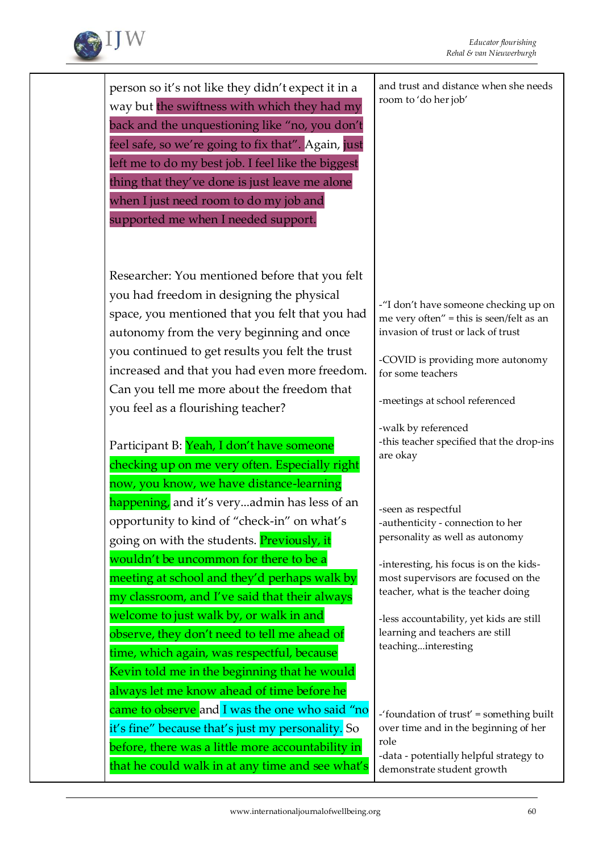

person so it's not like they didn't expect it in a way but the swiftness with which they had my back and the unquestioning like "no, you don't feel safe, so we're going to fix that". Again, just left me to do my best job. I feel like the biggest thing that they've done is just leave me alone when I just need room to do my job and supported me when I needed support. Researcher: You mentioned before that you felt you had freedom in designing the physical space, you mentioned that you felt that you had autonomy from the very beginning and once you continued to get results you felt the trust increased and that you had even more freedom. Can you tell me more about the freedom that you feel as a flourishing teacher? Participant B: Yeah, I don't have someone checking up on me very often. Especially right now, you know, we have distance-learning happening, and it's very...admin has less of an opportunity to kind of "check-in" on what's going on with the students. Previously, it wouldn't be uncommon for there to be a meeting at school and they'd perhaps walk by my classroom, and I've said that their always welcome to just walk by, or walk in and observe, they don't need to tell me ahead of time, which again, was respectful, because Kevin told me in the beginning that he would always let me know ahead of time before he came to observe and I was the one who said "no it's fine" because that's just my personality. So before, there was a little more accountability in that he could walk in at any time and see what's and trust and distance when she needs room to 'do her job' -"I don't have someone checking up on me very often" = this is seen/felt as an invasion of trust or lack of trust -COVID is providing more autonomy for some teachers -meetings at school referenced -walk by referenced -this teacher specified that the drop-ins are okay -seen as respectful -authenticity - connection to her personality as well as autonomy -interesting, his focus is on the kidsmost supervisors are focused on the teacher, what is the teacher doing -less accountability, yet kids are still learning and teachers are still teaching...interesting -'foundation of trust' = something built over time and in the beginning of her role -data - potentially helpful strategy to demonstrate student growth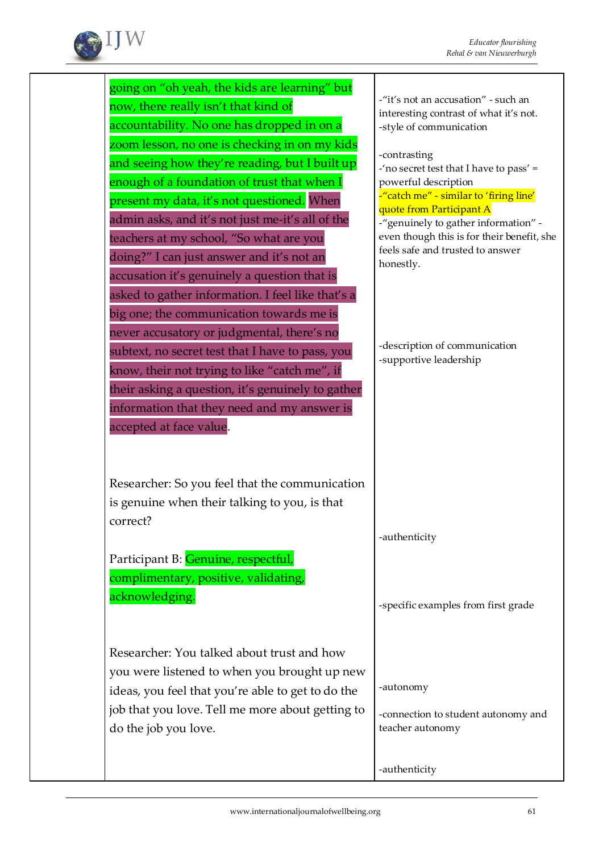

| going on "oh yeah, the kids are learning" but     |                                                                               |
|---------------------------------------------------|-------------------------------------------------------------------------------|
| now, there really isn't that kind of              | -"it's not an accusation" - such an<br>interesting contrast of what it's not. |
| accountability. No one has dropped in on a        | -style of communication                                                       |
| zoom lesson, no one is checking in on my kids     |                                                                               |
| and seeing how they're reading, but I built up    | -contrasting<br>-'no secret test that I have to pass' =                       |
| enough of a foundation of trust that when I       | powerful description                                                          |
| present my data, it's not questioned. When        | -"catch me" - similar to 'firing line'<br>quote from Participant A            |
| admin asks, and it's not just me-it's all of the  | -"genuinely to gather information" -                                          |
| teachers at my school, "So what are you           | even though this is for their benefit, she                                    |
| doing?" I can just answer and it's not an         | feels safe and trusted to answer<br>honestly.                                 |
| accusation it's genuinely a question that is      |                                                                               |
| asked to gather information. I feel like that's a |                                                                               |
| big one; the communication towards me is          |                                                                               |
| never accusatory or judgmental, there's no        |                                                                               |
| subtext, no secret test that I have to pass, you  | -description of communication                                                 |
| know, their not trying to like "catch me", if     | -supportive leadership                                                        |
| their asking a question, it's genuinely to gather |                                                                               |
| information that they need and my answer is       |                                                                               |
| accepted at face value.                           |                                                                               |
|                                                   |                                                                               |
|                                                   |                                                                               |
| Researcher: So you feel that the communication    |                                                                               |
| is genuine when their talking to you, is that     |                                                                               |
| correct?                                          |                                                                               |
|                                                   | -authenticity                                                                 |
| Participant B: Genuine, respectful,               |                                                                               |
| complimentary, positive, validating,              |                                                                               |
| acknowledging.                                    |                                                                               |
|                                                   | -specific examples from first grade                                           |
|                                                   |                                                                               |
| Researcher: You talked about trust and how        |                                                                               |
| you were listened to when you brought up new      |                                                                               |
|                                                   | -autonomy                                                                     |
| ideas, you feel that you're able to get to do the |                                                                               |
| job that you love. Tell me more about getting to  | -connection to student autonomy and                                           |
| do the job you love.                              | teacher autonomy                                                              |
|                                                   |                                                                               |
|                                                   | -authenticity                                                                 |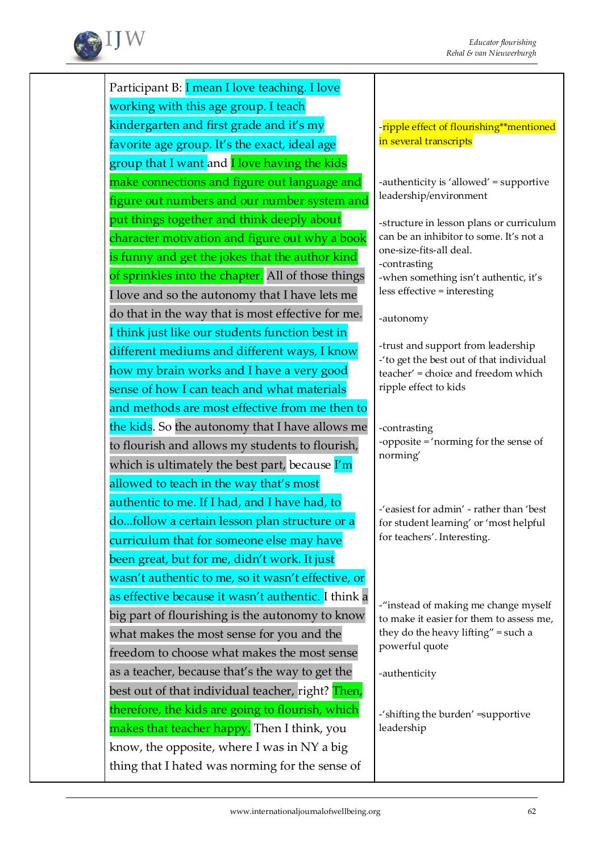

Participant B: I mean I love teaching. I love working with this age group. I teach kindergarten and first grade and it's my favorite age group. It's the exact, ideal age group that I want and **I love having the kids** make connections and figure out language and figure out numbers and our number system and put things together and think deeply about character motivation and figure out why a book is funny and get the jokes that the author kind of sprinkles into the chapter. All of those things I love and so the autonomy that I have lets me do that in the way that is most effective for me. I think just like our students function best in different mediums and different ways, I know how my brain works and I have a very good sense of how I can teach and what materials and methods are most effective from me then to the kids. So the autonomy that I have allows me to flourish and allows my students to flourish, which is ultimately the best part, because I'm allowed to teach in the way that's most authentic to me. If I had, and I have had, to do...follow a certain lesson plan structure or a curriculum that for someone else may have been great, but for me, didn't work. It just wasn't authentic to me, so it wasn't effective, or as effective because it wasn't authentic. I think a big part of flourishing is the autonomy to know what makes the most sense for you and the freedom to choose what makes the most sense as a teacher, because that's the way to get the best out of that individual teacher, right? Then, therefore, the kids are going to flourish, which makes that teacher happy. Then I think, you know, the opposite, where I was in NY a big thing that I hated was norming for the sense of

-ripple effect of flourishing\*\*mentioned in several transcripts

-authenticity is 'allowed' = supportive leadership/environment

-structure in lesson plans or curriculum can be an inhibitor to some. It's not a one-size-fits-all deal. -contrasting -when something isn't authentic, it's less effective = interesting

-autonomy

-trust and support from leadership -'to get the best out of that individual teacher' = choice and freedom which ripple effect to kids

-contrasting -opposite = 'norming for the sense of norming'

-'easiest for admin' - rather than 'best for student learning' or 'most helpful for teachers'. Interesting.

-"instead of making me change myself to make it easier for them to assess me, they do the heavy lifting" = such a powerful quote

-authenticity

-'shifting the burden' =supportive leadership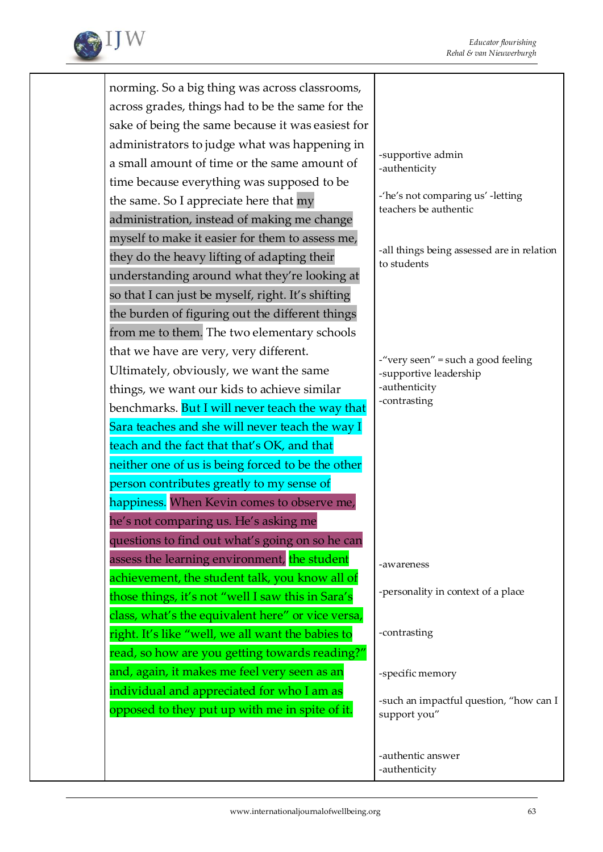

norming. So a big thing was across classrooms, across grades, things had to be the same for the sake of being the same because it was easiest for administrators to judge what was happening in a small amount of time or the same amount of time because everything was supposed to be the same. So I appreciate here that my administration, instead of making me change myself to make it easier for them to assess me, they do the heavy lifting of adapting their understanding around what they're looking at so that I can just be myself, right. It's shifting the burden of figuring out the different things from me to them. The two elementary schools that we have are very, very different. Ultimately, obviously, we want the same things, we want our kids to achieve similar benchmarks. But I will never teach the way that Sara teaches and she will never teach the way I teach and the fact that that's OK, and that neither one of us is being forced to be the other person contributes greatly to my sense of happiness. When Kevin comes to observe me, he's not comparing us. He's asking me questions to find out what's going on so he can assess the learning environment, the student achievement, the student talk, you know all of those things, it's not "well I saw this in Sara's class, what's the equivalent here" or vice versa, right. It's like "well, we all want the babies to read, so how are you getting towards reading?" and, again, it makes me feel very seen as an individual and appreciated for who I am as opposed to they put up with me in spite of it. -supportive admin -authenticity -'he's not comparing us' -letting teachers be authentic -all things being assessed are in relation to students -"very seen" = such a good feeling -supportive leadership -authenticity -contrasting -awareness -personality in context of a place -contrasting -specific memory -such an impactful question, "how can I support you" -authentic answer -authenticity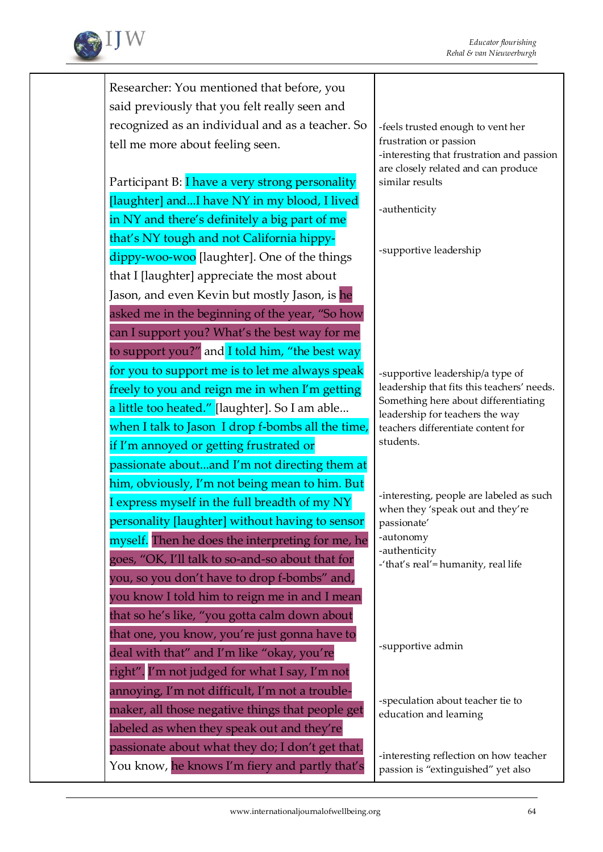

Researcher: You mentioned that before, you said previously that you felt really seen and recognized as an individual and as a teacher. So tell me more about feeling seen.

Participant B: I have a very strong personality [laughter] and...I have NY in my blood, I lived in NY and there's definitely a big part of me that's NY tough and not California hippydippy-woo-woo [laughter]. One of the things that I [laughter] appreciate the most about Jason, and even Kevin but mostly Jason, is he asked me in the beginning of the year, "So how can I support you? What's the best way for me to support you?" and I told him, "the best way for you to support me is to let me always speak freely to you and reign me in when I'm getting a little too heated." [laughter]. So I am able... when I talk to Jason I drop f-bombs all the time, if I'm annoyed or getting frustrated or passionate about...and I'm not directing them at him, obviously, I'm not being mean to him. But I express myself in the full breadth of my NY personality [laughter] without having to sensor myself. Then he does the interpreting for me, he goes, "OK, I'll talk to so-and-so about that for you, so you don't have to drop f-bombs" and, you know I told him to reign me in and I mean that so he's like, "you gotta calm down about that one, you know, you're just gonna have to deal with that" and I'm like "okay, you're right". I'm not judged for what I say, I'm not annoying, I'm not difficult, I'm not a troublemaker, all those negative things that people get labeled as when they speak out and they're passionate about what they do; I don't get that. You know, he knows I'm fiery and partly that's

-feels trusted enough to vent her frustration or passion -interesting that frustration and passion are closely related and can produce similar results

-authenticity

-supportive leadership

-supportive leadership/a type of leadership that fits this teachers' needs. Something here about differentiating leadership for teachers the way teachers differentiate content for students.

-interesting, people are labeled as such when they 'speak out and they're passionate' -autonomy -authenticity -'that's real'= humanity, real life

-supportive admin

-speculation about teacher tie to education and learning

-interesting reflection on how teacher passion is "extinguished" yet also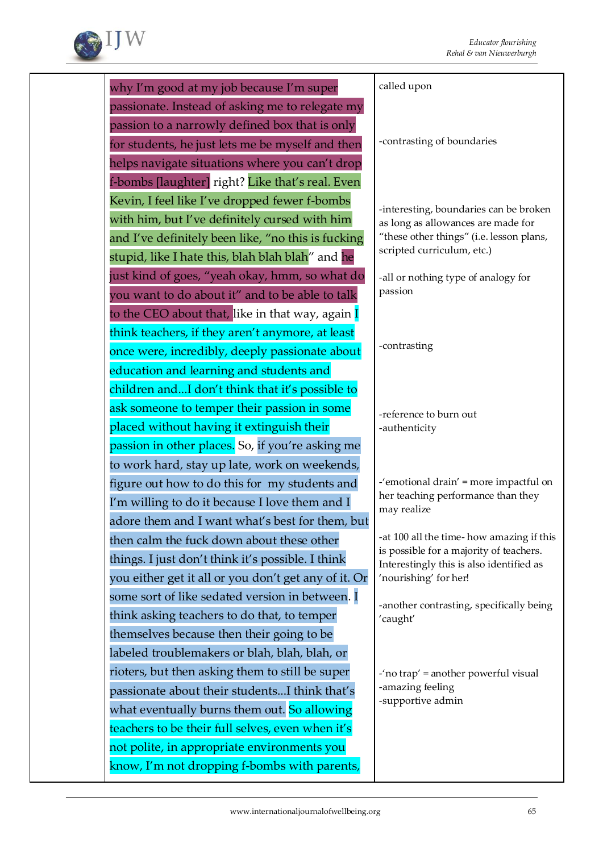

| why I'm good at my job because I'm super             | called upon                                                                         |
|------------------------------------------------------|-------------------------------------------------------------------------------------|
| passionate. Instead of asking me to relegate my      |                                                                                     |
| passion to a narrowly defined box that is only       |                                                                                     |
| for students, he just lets me be myself and then     | -contrasting of boundaries                                                          |
| helps navigate situations where you can't drop       |                                                                                     |
| f-bombs [laughter] right? Like that's real. Even     |                                                                                     |
| Kevin, I feel like I've dropped fewer f-bombs        | -interesting, boundaries can be broken                                              |
| with him, but I've definitely cursed with him        | as long as allowances are made for                                                  |
| and I've definitely been like, "no this is fucking   | "these other things" (i.e. lesson plans,                                            |
| stupid, like I hate this, blah blah blah" and he     | scripted curriculum, etc.)                                                          |
| just kind of goes, "yeah okay, hmm, so what do       | -all or nothing type of analogy for                                                 |
| you want to do about it" and to be able to talk      | passion                                                                             |
| to the CEO about that, like in that way, again I     |                                                                                     |
| think teachers, if they aren't anymore, at least     |                                                                                     |
| once were, incredibly, deeply passionate about       | -contrasting                                                                        |
| education and learning and students and              |                                                                                     |
| children andI don't think that it's possible to      |                                                                                     |
| ask someone to temper their passion in some          | -reference to burn out                                                              |
| placed without having it extinguish their            | -authenticity                                                                       |
| passion in other places. So, if you're asking me     |                                                                                     |
| to work hard, stay up late, work on weekends,        |                                                                                     |
| figure out how to do this for my students and        | -'emotional drain' = more impactful on                                              |
| I'm willing to do it because I love them and I       | her teaching performance than they<br>may realize                                   |
| adore them and I want what's best for them, but      |                                                                                     |
| then calm the fuck down about these other            | -at 100 all the time-how amazing if this<br>is possible for a majority of teachers. |
| things. I just don't think it's possible. I think    | Interestingly this is also identified as                                            |
| you either get it all or you don't get any of it. Or | 'nourishing' for her!                                                               |
| some sort of like sedated version in between. I      | -another contrasting, specifically being                                            |
| think asking teachers to do that, to temper          | 'caught'                                                                            |
| themselves because then their going to be            |                                                                                     |
| labeled troublemakers or blah, blah, blah, or        |                                                                                     |
| rioters, but then asking them to still be super      | $-$ 'no trap' = another powerful visual                                             |
| passionate about their studentsI think that's        | -amazing feeling<br>-supportive admin                                               |
| what eventually burns them out. So allowing          |                                                                                     |
| teachers to be their full selves, even when it's     |                                                                                     |
| not polite, in appropriate environments you          |                                                                                     |
| know, I'm not dropping f-bombs with parents,         |                                                                                     |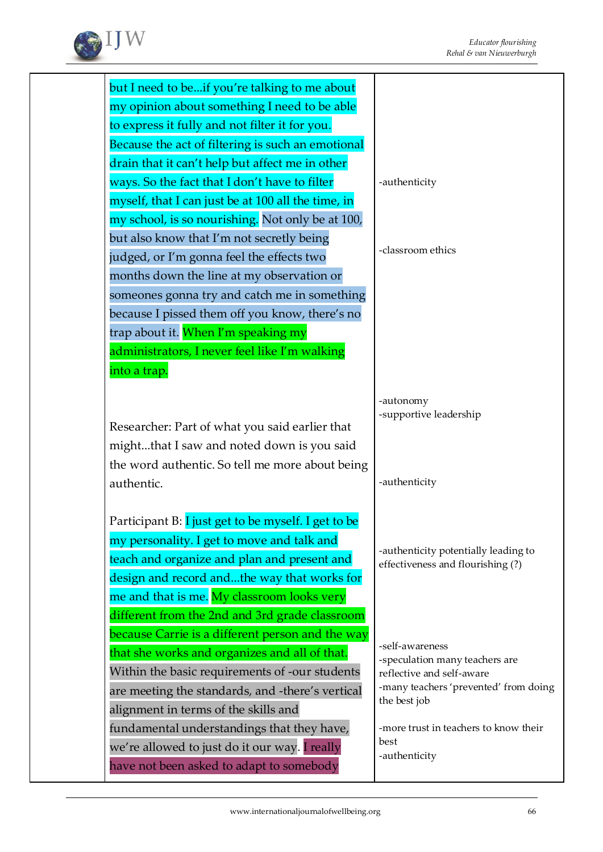

but I need to be...if you're talking to me about my opinion about something I need to be able to express it fully and not filter it for you. Because the act of filtering is such an emotional drain that it can't help but affect me in other ways. So the fact that I don't have to filter myself, that I can just be at 100 all the time, in my school, is so nourishing. Not only be at 100, but also know that I'm not secretly being judged, or I'm gonna feel the effects two months down the line at my observation or someones gonna try and catch me in something because I pissed them off you know, there's no trap about it. When I'm speaking my administrators, I never feel like I'm walking into a trap. Researcher: Part of what you said earlier that might...that I saw and noted down is you said the word authentic. So tell me more about being authentic. Participant B: I just get to be myself. I get to be my personality. I get to move and talk and teach and organize and plan and present and design and record and...the way that works for me and that is me. My classroom looks very different from the 2nd and 3rd grade classroom because Carrie is a different person and the way that she works and organizes and all of that. Within the basic requirements of -our students are meeting the standards, and -there's vertical alignment in terms of the skills and fundamental understandings that they have, we're allowed to just do it our way. I really -authenticity -classroom ethics -autonomy -authenticity the best job best

-supportive leadership

-authenticity potentially leading to effectiveness and flourishing (?)

-self-awareness -speculation many teachers are reflective and self-aware -many teachers 'prevented' from doing

-more trust in teachers to know their -authenticity

have not been asked to adapt to somebody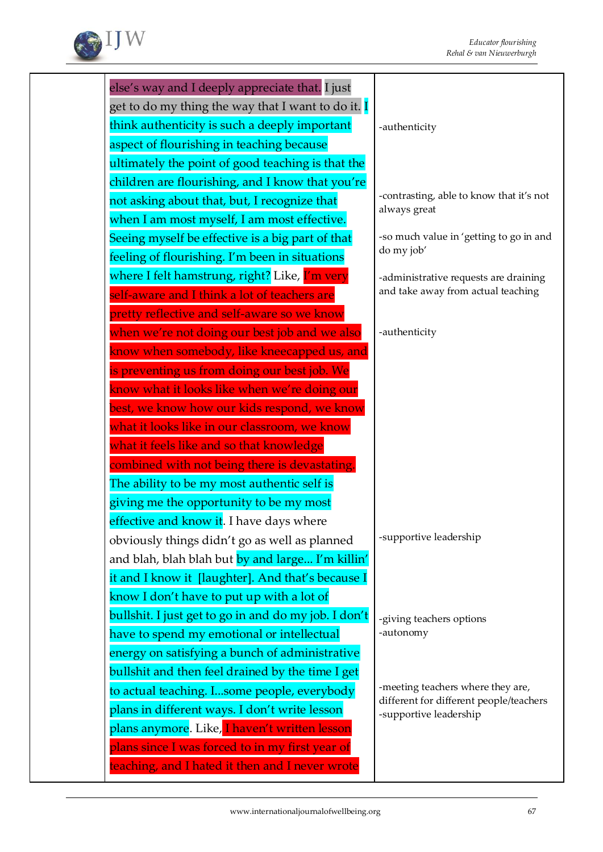

| else's way and I deeply appreciate that. I just      |                                                                   |
|------------------------------------------------------|-------------------------------------------------------------------|
| get to do my thing the way that I want to do it. I   |                                                                   |
| think authenticity is such a deeply important        | -authenticity                                                     |
| aspect of flourishing in teaching because            |                                                                   |
| ultimately the point of good teaching is that the    |                                                                   |
| children are flourishing, and I know that you're     |                                                                   |
| not asking about that, but, I recognize that         | -contrasting, able to know that it's not                          |
| when I am most myself, I am most effective.          | always great                                                      |
| Seeing myself be effective is a big part of that     | -so much value in 'getting to go in and                           |
| feeling of flourishing. I'm been in situations       | do my job'                                                        |
| where I felt hamstrung, right? Like, I'm very        | -administrative requests are draining                             |
| self-aware and I think a lot of teachers are         | and take away from actual teaching                                |
| pretty reflective and self-aware so we know          |                                                                   |
| when we're not doing our best job and we also        | -authenticity                                                     |
| know when somebody, like kneecapped us, and          |                                                                   |
| is preventing us from doing our best job. We         |                                                                   |
| know what it looks like when we're doing our         |                                                                   |
| best, we know how our kids respond, we know          |                                                                   |
| what it looks like in our classroom, we know         |                                                                   |
| what it feels like and so that knowledge             |                                                                   |
| combined with not being there is devastating.        |                                                                   |
| The ability to be my most authentic self is          |                                                                   |
| giving me the opportunity to be my most              |                                                                   |
| effective and know it. I have days where             |                                                                   |
| obviously things didn't go as well as planned        | -supportive leadership                                            |
| and blah, blah blah but by and large I'm killin'     |                                                                   |
| it and I know it [laughter]. And that's because I    |                                                                   |
| know I don't have to put up with a lot of            |                                                                   |
| bullshit. I just get to go in and do my job. I don't | -giving teachers options                                          |
| have to spend my emotional or intellectual           | -autonomy                                                         |
| energy on satisfying a bunch of administrative       |                                                                   |
| bullshit and then feel drained by the time I get     |                                                                   |
| to actual teaching. Isome people, everybody          | -meeting teachers where they are,                                 |
| plans in different ways. I don't write lesson        | different for different people/teachers<br>-supportive leadership |
| plans anymore. Like, I haven't written lesson        |                                                                   |
| plans since I was forced to in my first year of      |                                                                   |
| teaching, and I hated it then and I never wrote      |                                                                   |
|                                                      |                                                                   |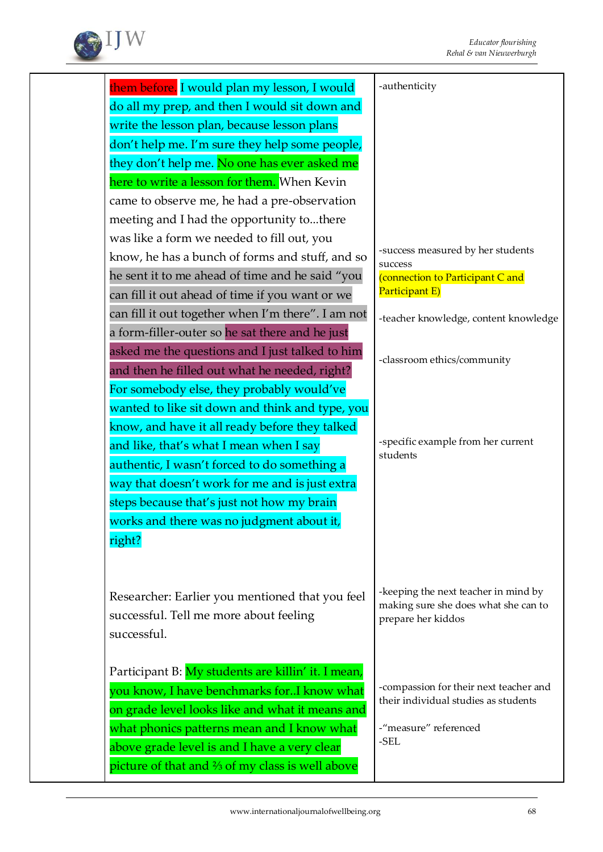

| them before. I would plan my lesson, I would       | -authenticity                                |
|----------------------------------------------------|----------------------------------------------|
| do all my prep, and then I would sit down and      |                                              |
| write the lesson plan, because lesson plans        |                                              |
| don't help me. I'm sure they help some people,     |                                              |
| they don't help me. No one has ever asked me       |                                              |
| here to write a lesson for them. When Kevin        |                                              |
| came to observe me, he had a pre-observation       |                                              |
| meeting and I had the opportunity tothere          |                                              |
| was like a form we needed to fill out, you         |                                              |
| know, he has a bunch of forms and stuff, and so    | -success measured by her students<br>success |
| he sent it to me ahead of time and he said "you    | (connection to Participant C and             |
| can fill it out ahead of time if you want or we    | Participant E)                               |
| can fill it out together when I'm there". I am not | -teacher knowledge, content knowledge        |
| a form-filler-outer so he sat there and he just    |                                              |
| asked me the questions and I just talked to him    |                                              |
| and then he filled out what he needed, right?      | -classroom ethics/community                  |
| For somebody else, they probably would've          |                                              |
| wanted to like sit down and think and type, you    |                                              |
| know, and have it all ready before they talked     |                                              |
| and like, that's what I mean when I say            | -specific example from her current           |
| authentic, I wasn't forced to do something a       | students                                     |
| way that doesn't work for me and is just extra     |                                              |
| steps because that's just not how my brain         |                                              |
| works and there was no judgment about it,          |                                              |
| right?                                             |                                              |
|                                                    |                                              |
|                                                    |                                              |
| Researcher: Earlier you mentioned that you feel    | -keeping the next teacher in mind by         |
| successful. Tell me more about feeling             | making sure she does what she can to         |
| successful.                                        | prepare her kiddos                           |
|                                                    |                                              |
| Participant B: My students are killin' it. I mean, |                                              |
| you know, I have benchmarks forI know what         | -compassion for their next teacher and       |
| on grade level looks like and what it means and    | their individual studies as students         |
| what phonics patterns mean and I know what         | -"measure" referenced                        |
| above grade level is and I have a very clear       | -SEL                                         |
| picture of that and % of my class is well above    |                                              |
|                                                    |                                              |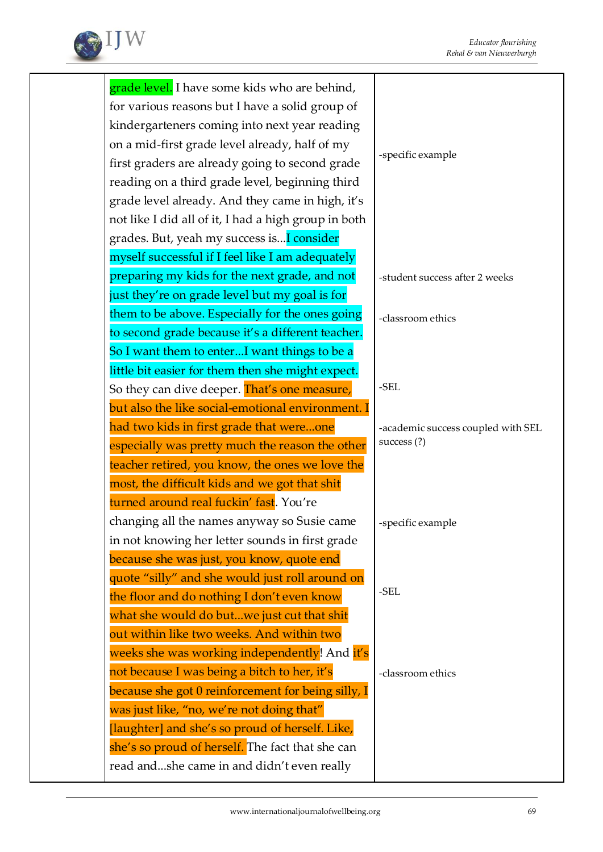

| grade level. I have some kids who are behind,        |                                    |
|------------------------------------------------------|------------------------------------|
| for various reasons but I have a solid group of      |                                    |
| kindergarteners coming into next year reading        |                                    |
| on a mid-first grade level already, half of my       |                                    |
| first graders are already going to second grade      | -specific example                  |
| reading on a third grade level, beginning third      |                                    |
| grade level already. And they came in high, it's     |                                    |
| not like I did all of it, I had a high group in both |                                    |
| grades. But, yeah my success is I consider           |                                    |
| myself successful if I feel like I am adequately     |                                    |
| preparing my kids for the next grade, and not        | -student success after 2 weeks     |
| just they're on grade level but my goal is for       |                                    |
| them to be above. Especially for the ones going      | -classroom ethics                  |
| to second grade because it's a different teacher.    |                                    |
| So I want them to enterI want things to be a         |                                    |
| little bit easier for them then she might expect.    |                                    |
| So they can dive deeper. That's one measure,         | -SEL                               |
| but also the like social-emotional environment. I    |                                    |
| had two kids in first grade that wereone             | -academic success coupled with SEL |
| especially was pretty much the reason the other      | success $(?)$                      |
| teacher retired, you know, the ones we love the      |                                    |
| most, the difficult kids and we got that shit        |                                    |
| turned around real fuckin' fast. You're              |                                    |
| changing all the names anyway so Susie came          | specific example                   |
| in not knowing her letter sounds in first grade      |                                    |
| because she was just, you know, quote end            |                                    |
| quote "silly" and she would just roll around on      |                                    |
| the floor and do nothing I don't even know           | $-SEL$                             |
| what she would do butwe just cut that shit           |                                    |
| out within like two weeks. And within two            |                                    |
| weeks she was working independently! And it's        |                                    |
| not because I was being a bitch to her, it's         | -classroom ethics                  |
| because she got 0 reinforcement for being silly, I   |                                    |
| was just like, "no, we're not doing that"            |                                    |
| [laughter] and she's so proud of herself. Like,      |                                    |
| she's so proud of herself. The fact that she can     |                                    |
| read andshe came in and didn't even really           |                                    |
|                                                      |                                    |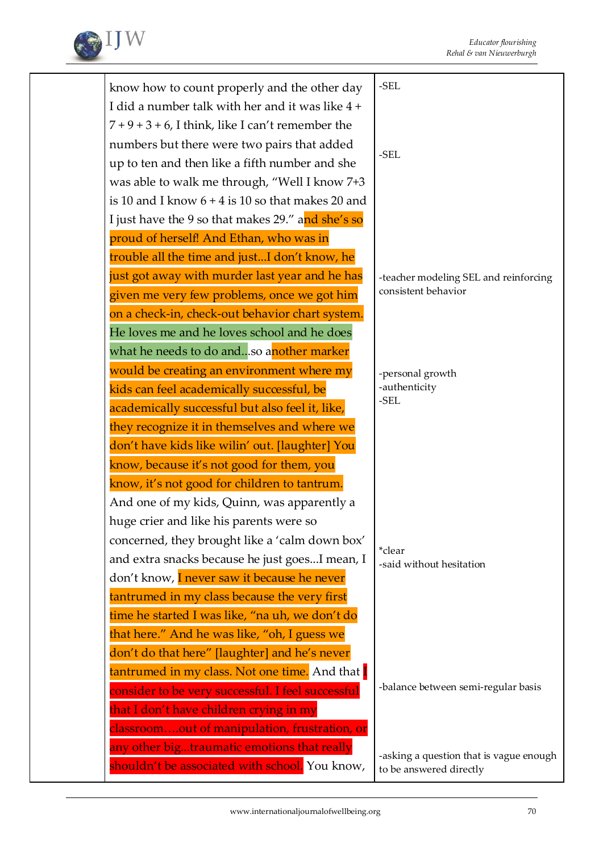

| know how to count properly and the other day         | $-SEL$                                  |
|------------------------------------------------------|-----------------------------------------|
| I did a number talk with her and it was like 4 +     |                                         |
| $7 + 9 + 3 + 6$ , I think, like I can't remember the |                                         |
| numbers but there were two pairs that added          |                                         |
| up to ten and then like a fifth number and she       | -SEL                                    |
| was able to walk me through, "Well I know 7+3        |                                         |
| is 10 and I know $6 + 4$ is 10 so that makes 20 and  |                                         |
| I just have the 9 so that makes 29." and she's so    |                                         |
| proud of herself! And Ethan, who was in              |                                         |
| trouble all the time and justI don't know, he        |                                         |
| just got away with murder last year and he has       | -teacher modeling SEL and reinforcing   |
| given me very few problems, once we got him          | consistent behavior                     |
| on a check-in, check-out behavior chart system.      |                                         |
| He loves me and he loves school and he does          |                                         |
| what he needs to do andso another marker             |                                         |
| would be creating an environment where my            | -personal growth                        |
| kids can feel academically successful, be            | -authenticity                           |
| academically successful but also feel it, like,      | -SEL                                    |
| they recognize it in themselves and where we         |                                         |
| don't have kids like wilin' out. [laughter] You      |                                         |
| know, because it's not good for them, you            |                                         |
| know, it's not good for children to tantrum.         |                                         |
| And one of my kids, Quinn, was apparently a          |                                         |
| huge crier and like his parents were so              |                                         |
| concerned, they brought like a 'calm down box'       | *clear                                  |
| and extra snacks because he just goesI mean, I       | -said without hesitation                |
| don't know, I never saw it because he never          |                                         |
| tantrumed in my class because the very first         |                                         |
| time he started I was like, "na uh, we don't do      |                                         |
| that here." And he was like, "oh, I guess we         |                                         |
| don't do that here" [laughter] and he's never        |                                         |
| tantrumed in my class. Not one time. And that I      |                                         |
| consider to be very successful. I feel successful    | -balance between semi-regular basis     |
| that I don't have children crying in my              |                                         |
| classroomout of manipulation, frustration, or        |                                         |
| any other bigtraumatic emotions that really          | -asking a question that is vague enough |
| shouldn't be associated with school. You know,       | to be answered directly                 |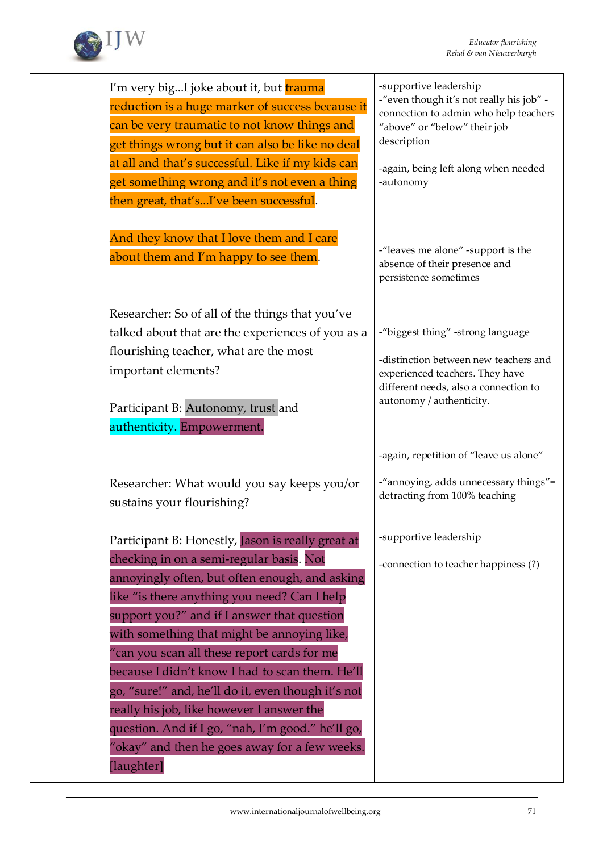

| I'm very bigI joke about it, but trauma<br>reduction is a huge marker of success because it<br>can be very traumatic to not know things and<br>get things wrong but it can also be like no deal<br>at all and that's successful. Like if my kids can<br>get something wrong and it's not even a thing<br>then great, that'sI've been successful.                                                                                                                                                                                                        | -supportive leadership<br>-"even though it's not really his job" -<br>connection to admin who help teachers<br>"above" or "below" their job<br>description<br>-again, being left along when needed<br>-autonomy |
|---------------------------------------------------------------------------------------------------------------------------------------------------------------------------------------------------------------------------------------------------------------------------------------------------------------------------------------------------------------------------------------------------------------------------------------------------------------------------------------------------------------------------------------------------------|-----------------------------------------------------------------------------------------------------------------------------------------------------------------------------------------------------------------|
| And they know that I love them and I care<br>about them and I'm happy to see them.                                                                                                                                                                                                                                                                                                                                                                                                                                                                      | -"leaves me alone" -support is the<br>absence of their presence and<br>persistence sometimes                                                                                                                    |
| Researcher: So of all of the things that you've<br>talked about that are the experiences of you as a<br>flourishing teacher, what are the most<br>important elements?<br>Participant B: Autonomy, trust and<br>authenticity. Empowerment.                                                                                                                                                                                                                                                                                                               | -"biggest thing" -strong language<br>-distinction between new teachers and<br>experienced teachers. They have<br>different needs, also a connection to<br>autonomy / authenticity.                              |
| Researcher: What would you say keeps you/or<br>sustains your flourishing?                                                                                                                                                                                                                                                                                                                                                                                                                                                                               | -again, repetition of "leave us alone"<br>-"annoying, adds unnecessary things"=<br>detracting from 100% teaching                                                                                                |
| Participant B: Honestly, Jason is really great at<br>checking in on a semi-regular basis. Not<br>annoyingly often, but often enough, and asking<br>like "is there anything you need? Can I help<br>support you?" and if I answer that question<br>with something that might be annoying like,<br>"can you scan all these report cards for me<br>because I didn't know I had to scan them. He'll<br>go, "sure!" and, he'll do it, even though it's not<br>really his job, like however I answer the<br>question. And if I go, "nah, I'm good." he'll go, | -supportive leadership<br>-connection to teacher happiness (?)                                                                                                                                                  |
| "okay" and then he goes away for a few weeks.<br>[laughter]                                                                                                                                                                                                                                                                                                                                                                                                                                                                                             |                                                                                                                                                                                                                 |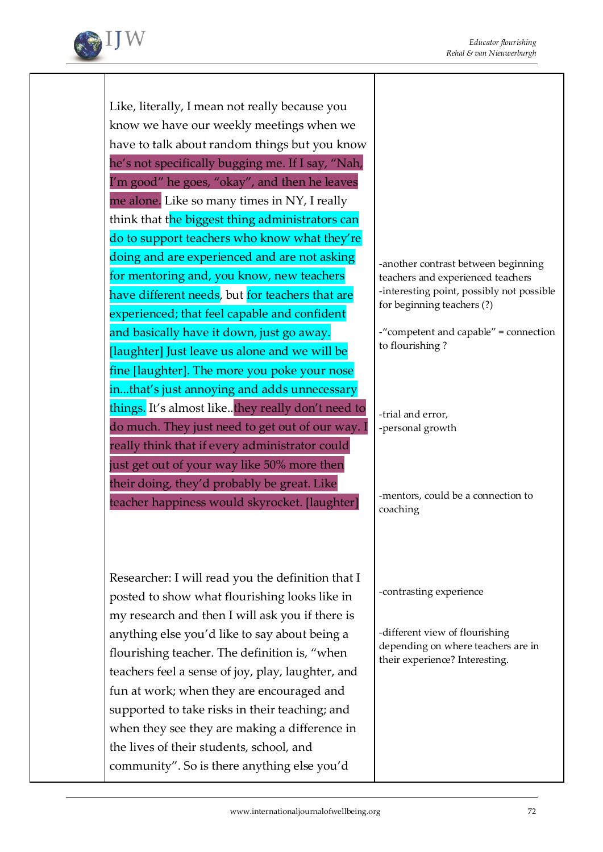

Like, literally, I mean not really because you know we have our weekly meetings when we have to talk about random things but you know he's not specifically bugging me. If I say, "Nah, I'm good" he goes, "okay", and then he leaves me alone. Like so many times in NY, I really think that the biggest thing administrators can do to support teachers who know what they're doing and are experienced and are not asking for mentoring and, you know, new teachers have different needs, but for teachers that are experienced; that feel capable and confident and basically have it down, just go away. [laughter] Just leave us alone and we will be fine [laughter]. The more you poke your nose in...that's just annoying and adds unnecessary things. It's almost like..they really don't need to do much. They just need to get out of our way. I really think that if every administrator could just get out of your way like 50% more then their doing, they'd probably be great. Like teacher happiness would skyrocket. [laughter]

Researcher: I will read you the definition that I posted to show what flourishing looks like in my research and then I will ask you if there is anything else you'd like to say about being a flourishing teacher. The definition is, "when teachers feel a sense of joy, play, laughter, and fun at work; when they are encouraged and supported to take risks in their teaching; and when they see they are making a difference in the lives of their students, school, and community". So is there anything else you'd

-another contrast between beginning teachers and experienced teachers -interesting point, possibly not possible for beginning teachers (?)

-"competent and capable" = connection to flourishing ?

-trial and error, -personal growth

-mentors, could be a connection to coaching

-contrasting experience

-different view of flourishing depending on where teachers are in their experience? Interesting.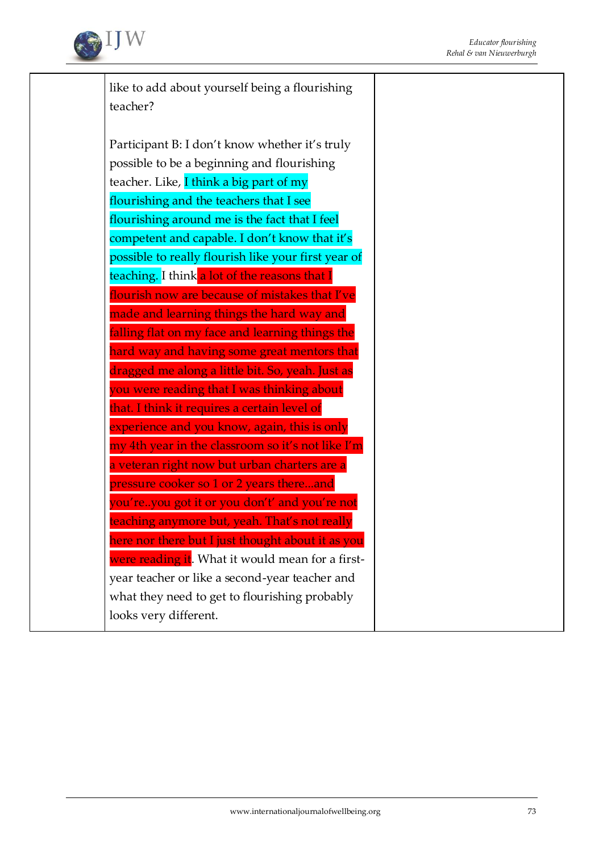

like to add about yourself being a flourishing teacher?

Participant B: I don't know whether it's truly possible to be a beginning and flourishing teacher. Like, I think a big part of my flourishing and the teachers that I see flourishing around me is the fact that I feel competent and capable. I don't know that it's possible to really flourish like your first year of teaching. I think a lot of the reasons that I flourish now are because of mistakes that I've made and learning things the hard way and falling flat on my face and learning things the hard way and having some great mentors that dragged me along a little bit. So, yeah. Just as you were reading that I was thinking about that. I think it requires a certain level of experience and you know, again, this is only my 4th year in the classroom so it's not like I'm a veteran right now but urban charters are a pressure cooker so 1 or 2 years there...and you're..you got it or you don't' and you're not teaching anymore but, yeah. That's not really here nor there but I just thought about it as you were reading it. What it would mean for a firstyear teacher or like a second-year teacher and what they need to get to flourishing probably looks very different.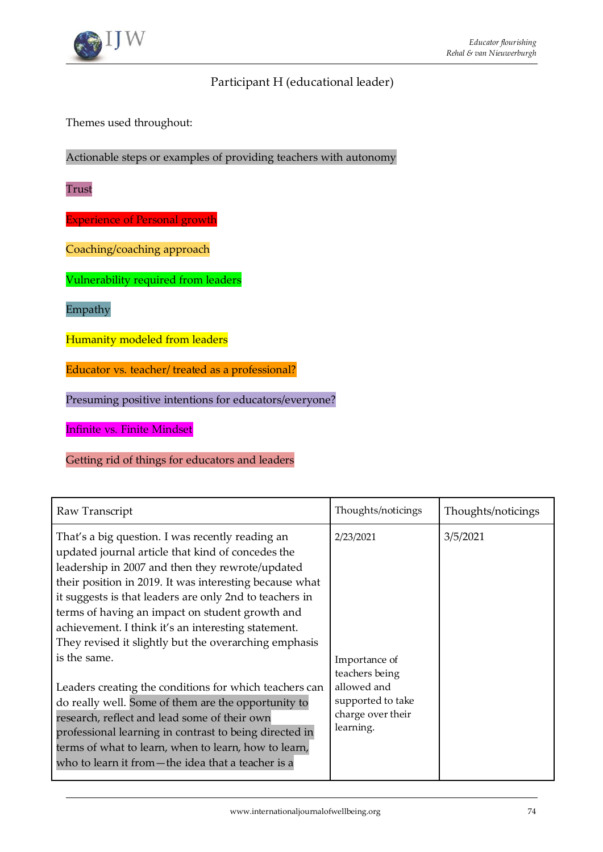# Participant H (educational leader)

Themes used throughout:

Actionable steps or examples of providing teachers with autonomy

Trust

Experience of Personal growth

Coaching/coaching approach

Vulnerability required from leaders

Empathy

Humanity modeled from leaders

Educator vs. teacher/ treated as a professional?

Presuming positive intentions for educators/everyone?

Infinite vs. Finite Mindset

Getting rid of things for educators and leaders

| Raw Transcript                                                                                                                                                                                                                                                                                                                                                                                                                                                     | Thoughts/noticings                                                                                    | Thoughts/noticings |
|--------------------------------------------------------------------------------------------------------------------------------------------------------------------------------------------------------------------------------------------------------------------------------------------------------------------------------------------------------------------------------------------------------------------------------------------------------------------|-------------------------------------------------------------------------------------------------------|--------------------|
| That's a big question. I was recently reading an<br>updated journal article that kind of concedes the<br>leadership in 2007 and then they rewrote/updated<br>their position in 2019. It was interesting because what<br>it suggests is that leaders are only 2nd to teachers in<br>terms of having an impact on student growth and<br>achievement. I think it's an interesting statement.<br>They revised it slightly but the overarching emphasis<br>is the same. | 2/23/2021                                                                                             | 3/5/2021           |
| Leaders creating the conditions for which teachers can<br>do really well. Some of them are the opportunity to<br>research, reflect and lead some of their own<br>professional learning in contrast to being directed in<br>terms of what to learn, when to learn, how to learn,<br>who to learn it from—the idea that a teacher is a                                                                                                                               | Importance of<br>teachers being<br>allowed and<br>supported to take<br>charge over their<br>learning. |                    |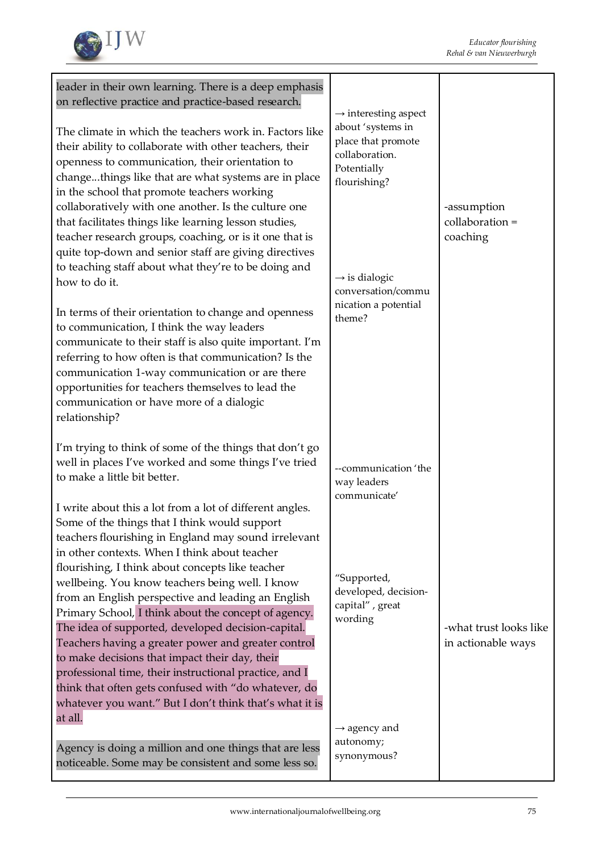

| leader in their own learning. There is a deep emphasis<br>on reflective practice and practice-based research.<br>The climate in which the teachers work in. Factors like<br>their ability to collaborate with other teachers, their<br>openness to communication, their orientation to<br>changethings like that are what systems are in place<br>in the school that promote teachers working<br>collaboratively with one another. Is the culture one<br>that facilitates things like learning lesson studies,<br>teacher research groups, coaching, or is it one that is<br>quite top-down and senior staff are giving directives<br>to teaching staff about what they're to be doing and<br>how to do it.<br>In terms of their orientation to change and openness<br>to communication, I think the way leaders<br>communicate to their staff is also quite important. I'm<br>referring to how often is that communication? Is the<br>communication 1-way communication or are there<br>opportunities for teachers themselves to lead the<br>communication or have more of a dialogic<br>relationship? | $\rightarrow$ interesting aspect<br>about 'systems in<br>place that promote<br>collaboration.<br>Potentially<br>flourishing?<br>$\rightarrow$ is dialogic<br>conversation/commu<br>nication a potential<br>theme? | -assumption<br>collaboration =<br>coaching   |
|---------------------------------------------------------------------------------------------------------------------------------------------------------------------------------------------------------------------------------------------------------------------------------------------------------------------------------------------------------------------------------------------------------------------------------------------------------------------------------------------------------------------------------------------------------------------------------------------------------------------------------------------------------------------------------------------------------------------------------------------------------------------------------------------------------------------------------------------------------------------------------------------------------------------------------------------------------------------------------------------------------------------------------------------------------------------------------------------------------|-------------------------------------------------------------------------------------------------------------------------------------------------------------------------------------------------------------------|----------------------------------------------|
| I'm trying to think of some of the things that don't go<br>well in places I've worked and some things I've tried<br>to make a little bit better.<br>I write about this a lot from a lot of different angles.<br>Some of the things that I think would support<br>teachers flourishing in England may sound irrelevant<br>in other contexts. When I think about teacher<br>flourishing, I think about concepts like teacher<br>wellbeing. You know teachers being well. I know<br>from an English perspective and leading an English<br>Primary School, I think about the concept of agency.<br>The idea of supported, developed decision-capital.<br>Teachers having a greater power and greater control<br>to make decisions that impact their day, their<br>professional time, their instructional practice, and I<br>think that often gets confused with "do whatever, do<br>whatever you want." But I don't think that's what it is<br>at all.                                                                                                                                                      | --communication 'the<br>way leaders<br>communicate'<br>"Supported,<br>developed, decision-<br>capital", great<br>wording<br>$\rightarrow$ agency and<br>autonomy;                                                 | -what trust looks like<br>in actionable ways |
| Agency is doing a million and one things that are less<br>noticeable. Some may be consistent and some less so.                                                                                                                                                                                                                                                                                                                                                                                                                                                                                                                                                                                                                                                                                                                                                                                                                                                                                                                                                                                          | synonymous?                                                                                                                                                                                                       |                                              |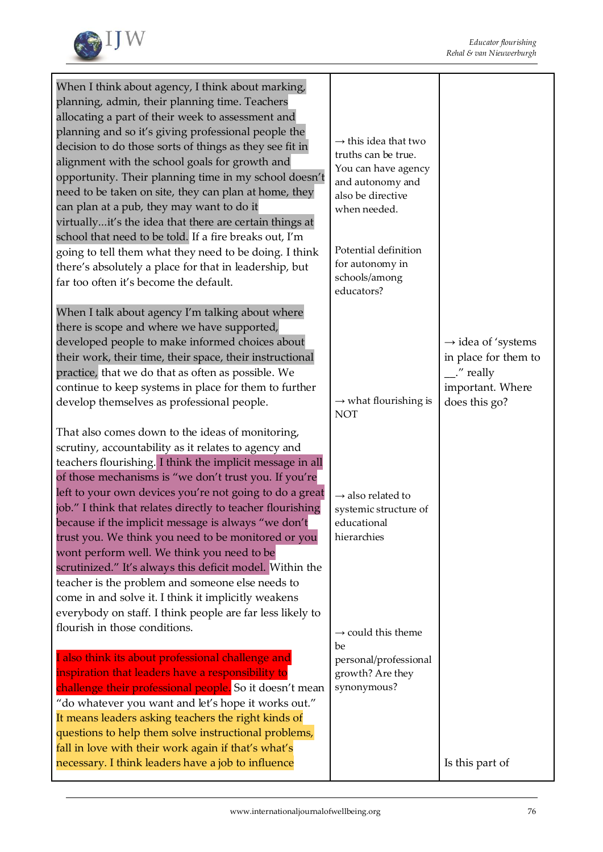

| When I think about agency, I think about marking,                                                                                                                                                                                                                                                                                                                                                                                                                                                                                                                                                                                                                                                                                                       |                                                                                                                                         |                                                                                                                       |
|---------------------------------------------------------------------------------------------------------------------------------------------------------------------------------------------------------------------------------------------------------------------------------------------------------------------------------------------------------------------------------------------------------------------------------------------------------------------------------------------------------------------------------------------------------------------------------------------------------------------------------------------------------------------------------------------------------------------------------------------------------|-----------------------------------------------------------------------------------------------------------------------------------------|-----------------------------------------------------------------------------------------------------------------------|
| planning, admin, their planning time. Teachers<br>allocating a part of their week to assessment and<br>planning and so it's giving professional people the<br>decision to do those sorts of things as they see fit in<br>alignment with the school goals for growth and<br>opportunity. Their planning time in my school doesn't<br>need to be taken on site, they can plan at home, they<br>can plan at a pub, they may want to do it<br>virtuallyit's the idea that there are certain things at                                                                                                                                                                                                                                                       | $\rightarrow$ this idea that two<br>truths can be true.<br>You can have agency<br>and autonomy and<br>also be directive<br>when needed. |                                                                                                                       |
| school that need to be told. If a fire breaks out, I'm<br>going to tell them what they need to be doing. I think<br>there's absolutely a place for that in leadership, but<br>far too often it's become the default.                                                                                                                                                                                                                                                                                                                                                                                                                                                                                                                                    | Potential definition<br>for autonomy in<br>schools/among<br>educators?                                                                  |                                                                                                                       |
| When I talk about agency I'm talking about where<br>there is scope and where we have supported,<br>developed people to make informed choices about<br>their work, their time, their space, their instructional<br>practice, that we do that as often as possible. We<br>continue to keep systems in place for them to further<br>develop themselves as professional people.                                                                                                                                                                                                                                                                                                                                                                             | $\rightarrow$ what flourishing is<br><b>NOT</b>                                                                                         | $\rightarrow$ idea of 'systems<br>in place for them to<br>$\mathcal{L}$ " really<br>important. Where<br>does this go? |
| That also comes down to the ideas of monitoring,<br>scrutiny, accountability as it relates to agency and<br>teachers flourishing. I think the implicit message in all<br>of those mechanisms is "we don't trust you. If you're<br>left to your own devices you're not going to do a great<br>job." I think that relates directly to teacher flourishing<br>because if the implicit message is always "we don't<br>trust you. We think you need to be monitored or you<br>wont perform well. We think you need to be<br>scrutinized." It's always this deficit model. Within the<br>teacher is the problem and someone else needs to<br>come in and solve it. I think it implicitly weakens<br>everybody on staff. I think people are far less likely to | $\rightarrow$ also related to<br>systemic structure of<br>educational<br>hierarchies                                                    |                                                                                                                       |
| flourish in those conditions.<br>I also think its about professional challenge and<br>inspiration that leaders have a responsibility to<br>challenge their professional people. So it doesn't mean<br>"do whatever you want and let's hope it works out."<br>It means leaders asking teachers the right kinds of<br>questions to help them solve instructional problems,<br>fall in love with their work again if that's what's<br>necessary. I think leaders have a job to influence                                                                                                                                                                                                                                                                   | $\rightarrow$ could this theme<br>be<br>personal/professional<br>growth? Are they<br>synonymous?                                        | Is this part of                                                                                                       |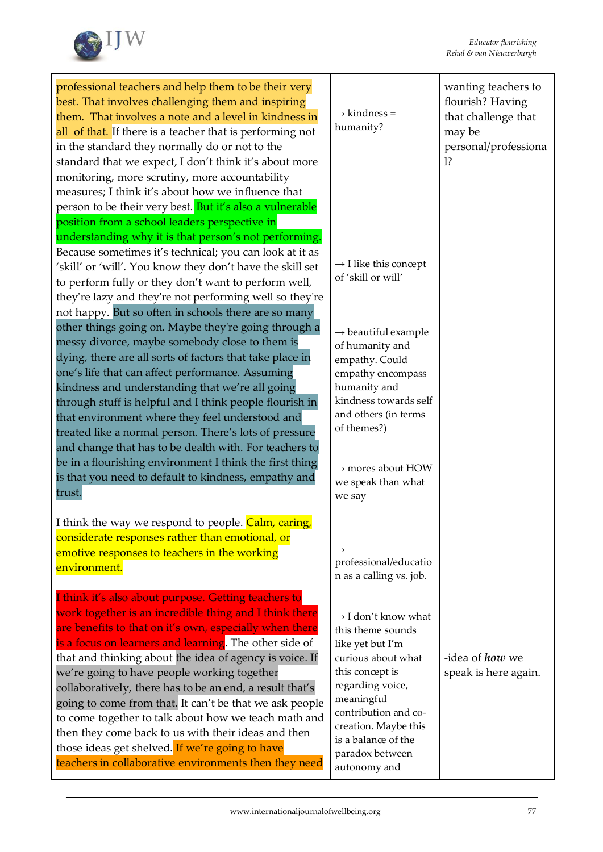

| professional teachers and help them to be their very<br>best. That involves challenging them and inspiring<br>them. That involves a note and a level in kindness in<br>all of that. If there is a teacher that is performing not<br>in the standard they normally do or not to the<br>standard that we expect, I don't think it's about more<br>monitoring, more scrutiny, more accountability<br>measures; I think it's about how we influence that<br>person to be their very best. But it's also a vulnerable                                                                                                                                                                                | $\rightarrow$ kindness =<br>humanity?                                                                                                                                                                                                                         | wanting teachers to<br>flourish? Having<br>that challenge that<br>may be<br>personal/professiona<br>12 |
|-------------------------------------------------------------------------------------------------------------------------------------------------------------------------------------------------------------------------------------------------------------------------------------------------------------------------------------------------------------------------------------------------------------------------------------------------------------------------------------------------------------------------------------------------------------------------------------------------------------------------------------------------------------------------------------------------|---------------------------------------------------------------------------------------------------------------------------------------------------------------------------------------------------------------------------------------------------------------|--------------------------------------------------------------------------------------------------------|
| position from a school leaders perspective in<br>understanding why it is that person's not performing.<br>Because sometimes it's technical; you can look at it as<br>'skill' or 'will'. You know they don't have the skill set<br>to perform fully or they don't want to perform well,<br>they're lazy and they're not performing well so they're<br>not happy. But so often in schools there are so many                                                                                                                                                                                                                                                                                       | $\rightarrow$ I like this concept<br>of 'skill or will'                                                                                                                                                                                                       |                                                                                                        |
| other things going on. Maybe they're going through a<br>messy divorce, maybe somebody close to them is<br>dying, there are all sorts of factors that take place in<br>one's life that can affect performance. Assuming<br>kindness and understanding that we're all going<br>through stuff is helpful and I think people flourish in<br>that environment where they feel understood and<br>treated like a normal person. There's lots of pressure<br>and change that has to be dealth with. For teachers to                                                                                                                                                                                     | $\rightarrow$ beautiful example<br>of humanity and<br>empathy. Could<br>empathy encompass<br>humanity and<br>kindness towards self<br>and others (in terms<br>of themes?)                                                                                     |                                                                                                        |
| be in a flourishing environment I think the first thing<br>is that you need to default to kindness, empathy and<br>trust.                                                                                                                                                                                                                                                                                                                                                                                                                                                                                                                                                                       | $\rightarrow$ mores about HOW<br>we speak than what<br>we say                                                                                                                                                                                                 |                                                                                                        |
| I think the way we respond to people. Calm, caring,<br>considerate responses rather than emotional, or<br>emotive responses to teachers in the working<br>environment.                                                                                                                                                                                                                                                                                                                                                                                                                                                                                                                          | professional/educatio<br>n as a calling vs. job.                                                                                                                                                                                                              |                                                                                                        |
| I think it's also about purpose. Getting teachers to<br>work together is an incredible thing and I think there<br>are benefits to that on it's own, especially when there<br>is a focus on learners and learning. The other side of<br>that and thinking about the idea of agency is voice. If<br>we're going to have people working together<br>collaboratively, there has to be an end, a result that's<br>going to come from that. It can't be that we ask people<br>to come together to talk about how we teach math and<br>then they come back to us with their ideas and then<br>those ideas get shelved. If we're going to have<br>teachers in collaborative environments then they need | $\rightarrow$ I don't know what<br>this theme sounds<br>like yet but I'm<br>curious about what<br>this concept is<br>regarding voice,<br>meaningful<br>contribution and co-<br>creation. Maybe this<br>is a balance of the<br>paradox between<br>autonomy and | -idea of <i>how</i> we<br>speak is here again.                                                         |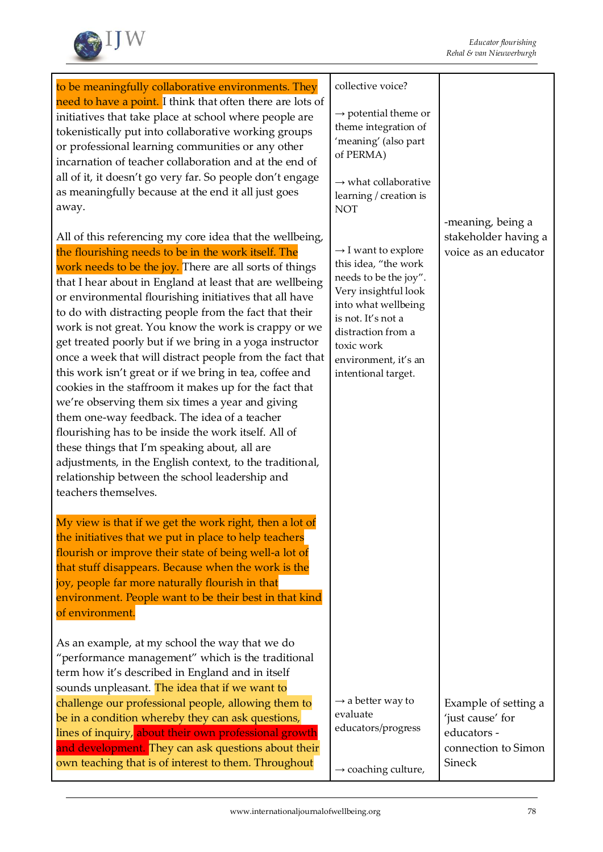

| to be meaningfully collaborative environments. They                                                                                                                                                                                                                                                                                                                                                                                                                                                                                                                                                                                                                                                                                                                                                                                                                                                                                                                                                               | collective voice?                                                                                                                                                                                                                        |                                                                         |
|-------------------------------------------------------------------------------------------------------------------------------------------------------------------------------------------------------------------------------------------------------------------------------------------------------------------------------------------------------------------------------------------------------------------------------------------------------------------------------------------------------------------------------------------------------------------------------------------------------------------------------------------------------------------------------------------------------------------------------------------------------------------------------------------------------------------------------------------------------------------------------------------------------------------------------------------------------------------------------------------------------------------|------------------------------------------------------------------------------------------------------------------------------------------------------------------------------------------------------------------------------------------|-------------------------------------------------------------------------|
| need to have a point. I think that often there are lots of<br>initiatives that take place at school where people are<br>tokenistically put into collaborative working groups<br>or professional learning communities or any other<br>incarnation of teacher collaboration and at the end of                                                                                                                                                                                                                                                                                                                                                                                                                                                                                                                                                                                                                                                                                                                       | $\rightarrow$ potential theme or<br>theme integration of<br>'meaning' (also part<br>of PERMA)                                                                                                                                            |                                                                         |
| all of it, it doesn't go very far. So people don't engage<br>as meaningfully because at the end it all just goes<br>away.                                                                                                                                                                                                                                                                                                                                                                                                                                                                                                                                                                                                                                                                                                                                                                                                                                                                                         | $\rightarrow$ what collaborative<br>learning / creation is<br><b>NOT</b>                                                                                                                                                                 |                                                                         |
| All of this referencing my core idea that the wellbeing,<br>the flourishing needs to be in the work itself. The<br>work needs to be the joy. There are all sorts of things<br>that I hear about in England at least that are wellbeing<br>or environmental flourishing initiatives that all have<br>to do with distracting people from the fact that their<br>work is not great. You know the work is crappy or we<br>get treated poorly but if we bring in a yoga instructor<br>once a week that will distract people from the fact that<br>this work isn't great or if we bring in tea, coffee and<br>cookies in the staffroom it makes up for the fact that<br>we're observing them six times a year and giving<br>them one-way feedback. The idea of a teacher<br>flourishing has to be inside the work itself. All of<br>these things that I'm speaking about, all are<br>adjustments, in the English context, to the traditional,<br>relationship between the school leadership and<br>teachers themselves. | $\rightarrow$ I want to explore<br>this idea, "the work<br>needs to be the joy".<br>Very insightful look<br>into what wellbeing<br>is not. It's not a<br>distraction from a<br>toxic work<br>environment, it's an<br>intentional target. | -meaning, being a<br>stakeholder having a<br>voice as an educator       |
| My view is that if we get the work right, then a lot of<br>the initiatives that we put in place to help teachers<br>flourish or improve their state of being well-a lot of<br>that stuff disappears. Because when the work is the<br>joy, people far more naturally flourish in that<br>environment. People want to be their best in that kind<br>of environment.                                                                                                                                                                                                                                                                                                                                                                                                                                                                                                                                                                                                                                                 |                                                                                                                                                                                                                                          |                                                                         |
| As an example, at my school the way that we do<br>"performance management" which is the traditional<br>term how it's described in England and in itself<br>sounds unpleasant. The idea that if we want to<br>challenge our professional people, allowing them to                                                                                                                                                                                                                                                                                                                                                                                                                                                                                                                                                                                                                                                                                                                                                  | $\rightarrow$ a better way to                                                                                                                                                                                                            | Example of setting a                                                    |
| be in a condition whereby they can ask questions,<br>lines of inquiry, about their own professional growth<br>and development. They can ask questions about their<br>own teaching that is of interest to them. Throughout                                                                                                                                                                                                                                                                                                                                                                                                                                                                                                                                                                                                                                                                                                                                                                                         | evaluate<br>educators/progress<br>$\rightarrow$ coaching culture,                                                                                                                                                                        | 'just cause' for<br>educators -<br>connection to Simon<br><b>Sineck</b> |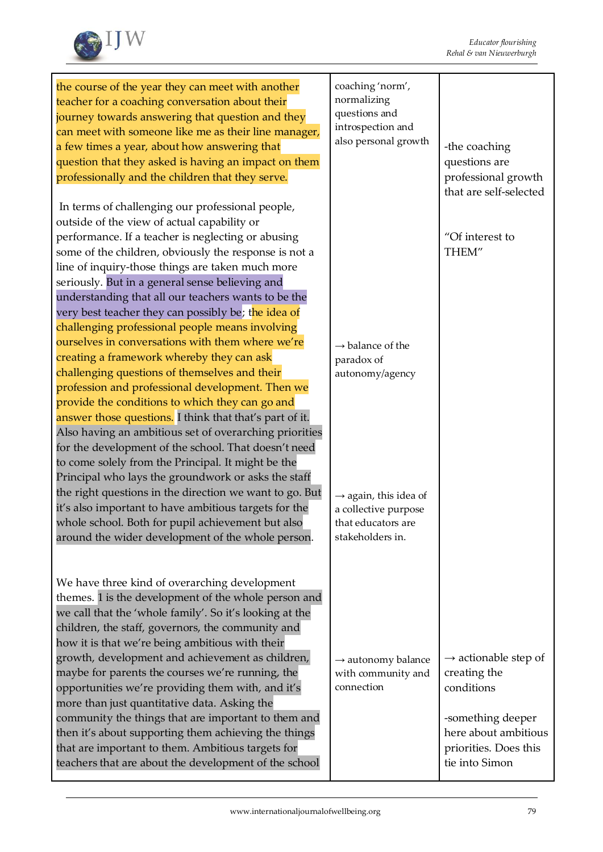

| the course of the year they can meet with another<br>teacher for a coaching conversation about their<br>journey towards answering that question and they<br>can meet with someone like me as their line manager,<br>a few times a year, about how answering that<br>question that they asked is having an impact on them<br>professionally and the children that they serve.                                                                                                                                                                                                                                                                                                                                       | coaching 'norm',<br>normalizing<br>questions and<br>introspection and<br>also personal growth       | -the coaching<br>questions are<br>professional growth<br>that are self-selected                                                                        |
|--------------------------------------------------------------------------------------------------------------------------------------------------------------------------------------------------------------------------------------------------------------------------------------------------------------------------------------------------------------------------------------------------------------------------------------------------------------------------------------------------------------------------------------------------------------------------------------------------------------------------------------------------------------------------------------------------------------------|-----------------------------------------------------------------------------------------------------|--------------------------------------------------------------------------------------------------------------------------------------------------------|
| In terms of challenging our professional people,<br>outside of the view of actual capability or<br>performance. If a teacher is neglecting or abusing<br>some of the children, obviously the response is not a<br>line of inquiry-those things are taken much more<br>seriously. But in a general sense believing and<br>understanding that all our teachers wants to be the                                                                                                                                                                                                                                                                                                                                       |                                                                                                     | "Of interest to<br>THEM"                                                                                                                               |
| very best teacher they can possibly be; the idea of<br>challenging professional people means involving<br>ourselves in conversations with them where we're<br>creating a framework whereby they can ask<br>challenging questions of themselves and their<br>profession and professional development. Then we<br>provide the conditions to which they can go and<br>answer those questions. I think that that's part of it.<br>Also having an ambitious set of overarching priorities                                                                                                                                                                                                                               | $\rightarrow$ balance of the<br>paradox of<br>autonomy/agency                                       |                                                                                                                                                        |
| for the development of the school. That doesn't need<br>to come solely from the Principal. It might be the<br>Principal who lays the groundwork or asks the staff<br>the right questions in the direction we want to go. But<br>it's also important to have ambitious targets for the<br>whole school. Both for pupil achievement but also<br>around the wider development of the whole person.                                                                                                                                                                                                                                                                                                                    | $\rightarrow$ again, this idea of<br>a collective purpose<br>that educators are<br>stakeholders in. |                                                                                                                                                        |
| We have three kind of overarching development<br>themes. 1 is the development of the whole person and<br>we call that the 'whole family'. So it's looking at the<br>children, the staff, governors, the community and<br>how it is that we're being ambitious with their<br>growth, development and achievement as children,<br>maybe for parents the courses we're running, the<br>opportunities we're providing them with, and it's<br>more than just quantitative data. Asking the<br>community the things that are important to them and<br>then it's about supporting them achieving the things<br>that are important to them. Ambitious targets for<br>teachers that are about the development of the school | $\rightarrow$ autonomy balance<br>with community and<br>connection                                  | $\rightarrow$ actionable step of<br>creating the<br>conditions<br>-something deeper<br>here about ambitious<br>priorities. Does this<br>tie into Simon |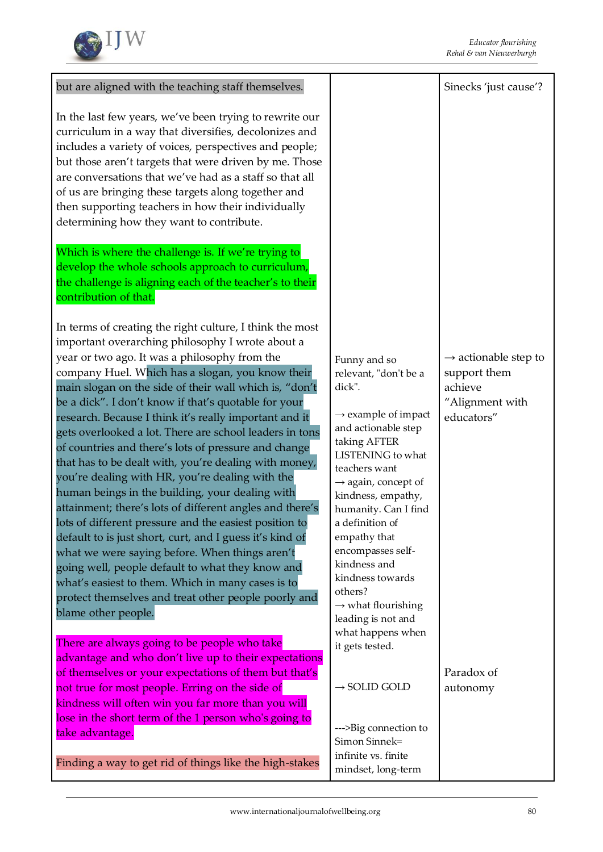

| but are aligned with the teaching staff themselves.                                                                                                                                                                                                                                                                                                                                                                                                                                                                                                                                                                                                                                                                                                                                                                                                                                                                                                                                                                                                                                                                                                         |                                                                                                                                                                                                                                                                                                                                                                                                                                                         | Sinecks 'just cause'?                                                                        |
|-------------------------------------------------------------------------------------------------------------------------------------------------------------------------------------------------------------------------------------------------------------------------------------------------------------------------------------------------------------------------------------------------------------------------------------------------------------------------------------------------------------------------------------------------------------------------------------------------------------------------------------------------------------------------------------------------------------------------------------------------------------------------------------------------------------------------------------------------------------------------------------------------------------------------------------------------------------------------------------------------------------------------------------------------------------------------------------------------------------------------------------------------------------|---------------------------------------------------------------------------------------------------------------------------------------------------------------------------------------------------------------------------------------------------------------------------------------------------------------------------------------------------------------------------------------------------------------------------------------------------------|----------------------------------------------------------------------------------------------|
| In the last few years, we've been trying to rewrite our<br>curriculum in a way that diversifies, decolonizes and<br>includes a variety of voices, perspectives and people;<br>but those aren't targets that were driven by me. Those<br>are conversations that we've had as a staff so that all<br>of us are bringing these targets along together and<br>then supporting teachers in how their individually<br>determining how they want to contribute.                                                                                                                                                                                                                                                                                                                                                                                                                                                                                                                                                                                                                                                                                                    |                                                                                                                                                                                                                                                                                                                                                                                                                                                         |                                                                                              |
| Which is where the challenge is. If we're trying to<br>develop the whole schools approach to curriculum,<br>the challenge is aligning each of the teacher's to their<br>contribution of that.                                                                                                                                                                                                                                                                                                                                                                                                                                                                                                                                                                                                                                                                                                                                                                                                                                                                                                                                                               |                                                                                                                                                                                                                                                                                                                                                                                                                                                         |                                                                                              |
| In terms of creating the right culture, I think the most<br>important overarching philosophy I wrote about a<br>year or two ago. It was a philosophy from the<br>company Huel. Which has a slogan, you know their<br>main slogan on the side of their wall which is, "don't<br>be a dick". I don't know if that's quotable for your<br>research. Because I think it's really important and it<br>gets overlooked a lot. There are school leaders in tons<br>of countries and there's lots of pressure and change<br>that has to be dealt with, you're dealing with money,<br>you're dealing with HR, you're dealing with the<br>human beings in the building, your dealing with<br>attainment; there's lots of different angles and there's<br>lots of different pressure and the easiest position to<br>default to is just short, curt, and I guess it's kind of<br>what we were saying before. When things aren't<br>going well, people default to what they know and<br>what's easiest to them. Which in many cases is to<br>protect themselves and treat other people poorly and<br>blame other people.<br>There are always going to be people who take | Funny and so<br>relevant, "don't be a<br>dick".<br>$\rightarrow$ example of impact<br>and actionable step<br>taking AFTER<br>LISTENING to what<br>teachers want<br>$\rightarrow$ again, concept of<br>kindness, empathy,<br>humanity. Can I find<br>a definition of<br>empathy that<br>encompasses self-<br>kindness and<br>kindness towards<br>others?<br>$\rightarrow$ what flourishing<br>leading is not and<br>what happens when<br>it gets tested. | $\rightarrow$ actionable step to<br>support them<br>achieve<br>"Alignment with<br>educators" |
| advantage and who don't live up to their expectations<br>of themselves or your expectations of them but that's<br>not true for most people. Erring on the side of<br>kindness will often win you far more than you will<br>lose in the short term of the 1 person who's going to                                                                                                                                                                                                                                                                                                                                                                                                                                                                                                                                                                                                                                                                                                                                                                                                                                                                            | $\rightarrow$ SOLID GOLD                                                                                                                                                                                                                                                                                                                                                                                                                                | Paradox of<br>autonomy                                                                       |
| take advantage.<br>Finding a way to get rid of things like the high-stakes                                                                                                                                                                                                                                                                                                                                                                                                                                                                                                                                                                                                                                                                                                                                                                                                                                                                                                                                                                                                                                                                                  | --->Big connection to<br>Simon Sinnek=<br>infinite vs. finite<br>mindset, long-term                                                                                                                                                                                                                                                                                                                                                                     |                                                                                              |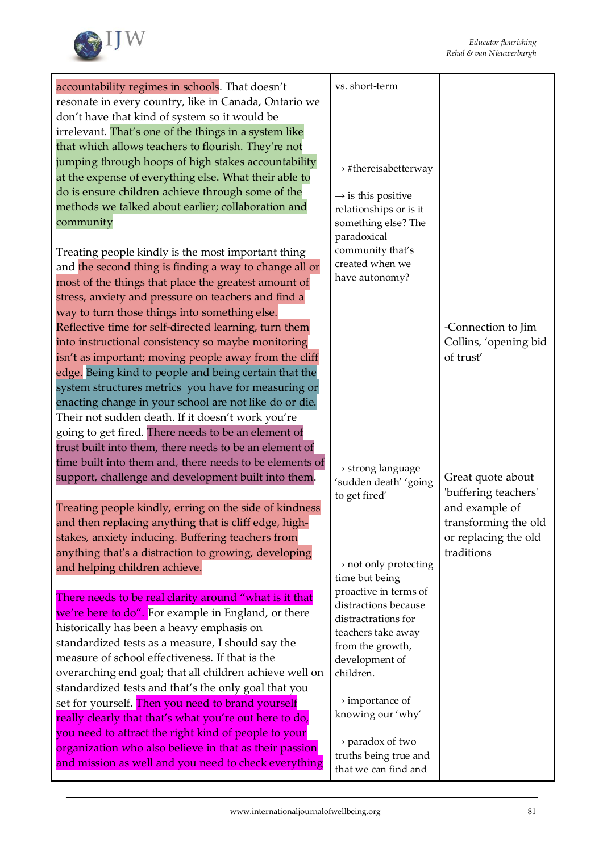

| accountability regimes in schools. That doesn't                                                | vs. short-term                    |                       |
|------------------------------------------------------------------------------------------------|-----------------------------------|-----------------------|
| resonate in every country, like in Canada, Ontario we                                          |                                   |                       |
| don't have that kind of system so it would be                                                  |                                   |                       |
| irrelevant. That's one of the things in a system like                                          |                                   |                       |
| that which allows teachers to flourish. They're not                                            |                                   |                       |
| jumping through hoops of high stakes accountability                                            |                                   |                       |
| at the expense of everything else. What their able to                                          | $\rightarrow$ #thereisabetterway  |                       |
| do is ensure children achieve through some of the                                              | $\rightarrow$ is this positive    |                       |
| methods we talked about earlier; collaboration and                                             | relationships or is it            |                       |
| community                                                                                      | something else? The               |                       |
|                                                                                                | paradoxical                       |                       |
| Treating people kindly is the most important thing                                             | community that's                  |                       |
| and the second thing is finding a way to change all or                                         | created when we                   |                       |
| most of the things that place the greatest amount of                                           | have autonomy?                    |                       |
| stress, anxiety and pressure on teachers and find a                                            |                                   |                       |
| way to turn those things into something else.                                                  |                                   |                       |
| Reflective time for self-directed learning, turn them                                          |                                   | -Connection to Jim    |
| into instructional consistency so maybe monitoring                                             |                                   | Collins, 'opening bid |
| isn't as important; moving people away from the cliff                                          |                                   | of trust'             |
| edge. Being kind to people and being certain that the                                          |                                   |                       |
| system structures metrics you have for measuring or                                            |                                   |                       |
| enacting change in your school are not like do or die.                                         |                                   |                       |
| Their not sudden death. If it doesn't work you're                                              |                                   |                       |
| going to get fired. There needs to be an element of                                            |                                   |                       |
| trust built into them, there needs to be an element of                                         |                                   |                       |
| time built into them and, there needs to be elements of                                        | $\rightarrow$ strong language     |                       |
| support, challenge and development built into them.                                            | 'sudden death' 'going             | Great quote about     |
|                                                                                                | to get fired'                     | 'buffering teachers'  |
| Treating people kindly, erring on the side of kindness                                         |                                   | and example of        |
| and then replacing anything that is cliff edge, high-                                          |                                   | transforming the old  |
| stakes, anxiety inducing. Buffering teachers from                                              |                                   | or replacing the old  |
| anything that's a distraction to growing, developing                                           | $\rightarrow$ not only protecting | traditions            |
| and helping children achieve.                                                                  | time but being                    |                       |
|                                                                                                | proactive in terms of             |                       |
| There needs to be real clarity around "what is it that                                         | distractions because              |                       |
| we're here to do". For example in England, or there                                            | distractrations for               |                       |
| historically has been a heavy emphasis on<br>standardized tests as a measure, I should say the | teachers take away                |                       |
| measure of school effectiveness. If that is the                                                | from the growth,                  |                       |
| overarching end goal; that all children achieve well on                                        | development of<br>children.       |                       |
| standardized tests and that's the only goal that you                                           |                                   |                       |
| set for yourself. Then you need to brand yourself                                              | $\rightarrow$ importance of       |                       |
| really clearly that that's what you're out here to do,                                         | knowing our 'why'                 |                       |
| you need to attract the right kind of people to your                                           |                                   |                       |
| organization who also believe in that as their passion                                         | $\rightarrow$ paradox of two      |                       |
| and mission as well and you need to check everything                                           | truths being true and             |                       |
|                                                                                                | that we can find and              |                       |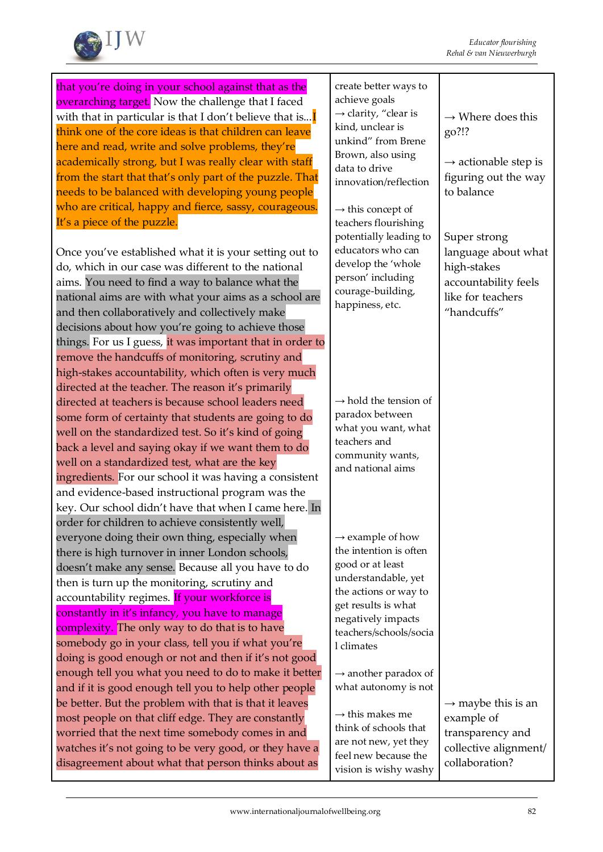

| that you're doing in your school against that as the<br>overarching target. Now the challenge that I faced<br>with that in particular is that I don't believe that is<br>think one of the core ideas is that children can leave<br>here and read, write and solve problems, they're<br>academically strong, but I was really clear with staff<br>from the start that that's only part of the puzzle. That<br>needs to be balanced with developing young people                                                                                                                                                                                                                                                                       | create better ways to<br>achieve goals<br>$\rightarrow$ clarity, "clear is<br>kind, unclear is<br>unkind" from Brene<br>Brown, also using<br>data to drive<br>innovation/reflection                             | $\rightarrow$ Where does this<br>go?!?<br>$\rightarrow$ actionable step is<br>figuring out the way<br>to balance |
|--------------------------------------------------------------------------------------------------------------------------------------------------------------------------------------------------------------------------------------------------------------------------------------------------------------------------------------------------------------------------------------------------------------------------------------------------------------------------------------------------------------------------------------------------------------------------------------------------------------------------------------------------------------------------------------------------------------------------------------|-----------------------------------------------------------------------------------------------------------------------------------------------------------------------------------------------------------------|------------------------------------------------------------------------------------------------------------------|
| who are critical, happy and fierce, sassy, courageous.<br>It's a piece of the puzzle.<br>Once you've established what it is your setting out to<br>do, which in our case was different to the national<br>aims. You need to find a way to balance what the<br>national aims are with what your aims as a school are<br>and then collaboratively and collectively make<br>decisions about how you're going to achieve those                                                                                                                                                                                                                                                                                                           | $\rightarrow$ this concept of<br>teachers flourishing<br>potentially leading to<br>educators who can<br>develop the 'whole<br>person' including<br>courage-building,<br>happiness, etc.                         | Super strong<br>language about what<br>high-stakes<br>accountability feels<br>like for teachers<br>"handcuffs"   |
| things. For us I guess, it was important that in order to<br>remove the handcuffs of monitoring, scrutiny and<br>high-stakes accountability, which often is very much<br>directed at the teacher. The reason it's primarily<br>directed at teachers is because school leaders need<br>some form of certainty that students are going to do<br>well on the standardized test. So it's kind of going<br>back a level and saying okay if we want them to do<br>well on a standardized test, what are the key<br>ingredients. For our school it was having a consistent<br>and evidence-based instructional program was the<br>key. Our school didn't have that when I came here. In<br>order for children to achieve consistently well, | $\rightarrow$ hold the tension of<br>paradox between<br>what you want, what<br>teachers and<br>community wants,<br>and national aims                                                                            |                                                                                                                  |
| everyone doing their own thing, especially when<br>there is high turnover in inner London schools,<br>doesn't make any sense. Because all you have to do<br>then is turn up the monitoring, scrutiny and<br>accountability regimes. If your workforce is<br>constantly in it's infancy, you have to manage<br>complexity. The only way to do that is to have<br>somebody go in your class, tell you if what you're<br>doing is good enough or not and then if it's not good                                                                                                                                                                                                                                                          | $\rightarrow$ example of how<br>the intention is often<br>good or at least<br>understandable, yet<br>the actions or way to<br>get results is what<br>negatively impacts<br>teachers/schools/socia<br>l climates |                                                                                                                  |
| enough tell you what you need to do to make it better<br>and if it is good enough tell you to help other people<br>be better. But the problem with that is that it leaves<br>most people on that cliff edge. They are constantly<br>worried that the next time somebody comes in and<br>watches it's not going to be very good, or they have a<br>disagreement about what that person thinks about as                                                                                                                                                                                                                                                                                                                                | $\rightarrow$ another paradox of<br>what autonomy is not<br>$\rightarrow$ this makes me<br>think of schools that<br>are not new, yet they<br>feel new because the<br>vision is wishy washy                      | $\rightarrow$ maybe this is an<br>example of<br>transparency and<br>collective alignment/<br>collaboration?      |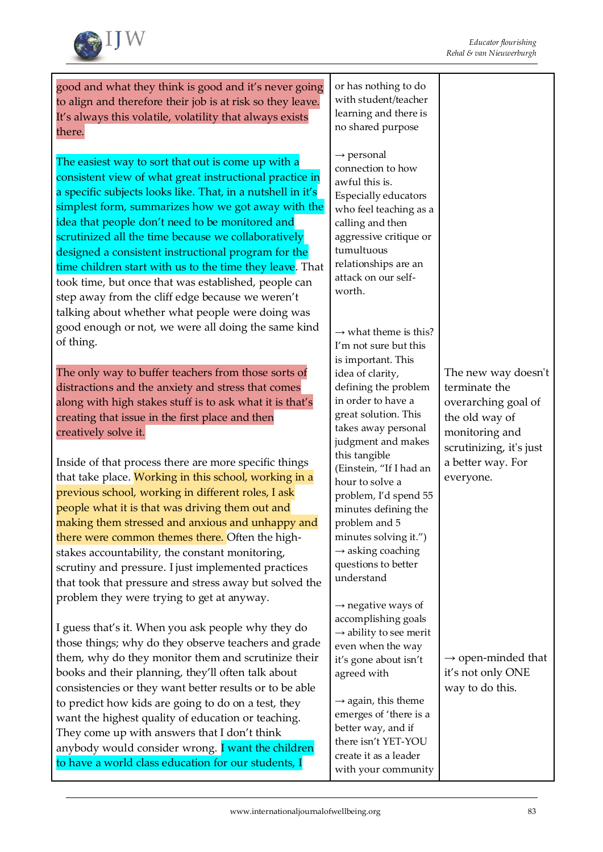

good and what they think is good and it's never going to align and therefore their job is at risk so they leave. It's always this volatile, volatility that always exists there.

The easiest way to sort that out is come up with a consistent view of what great instructional practice in a specific subjects looks like. That, in a nutshell in it's simplest form, summarizes how we got away with the idea that people don't need to be monitored and scrutinized all the time because we collaboratively designed a consistent instructional program for the time children start with us to the time they leave. That took time, but once that was established, people can step away from the cliff edge because we weren't talking about whether what people were doing was good enough or not, we were all doing the same kind of thing.

The only way to buffer teachers from those sorts of distractions and the anxiety and stress that comes along with high stakes stuff is to ask what it is that's creating that issue in the first place and then creatively solve it.

Inside of that process there are more specific things that take place. Working in this school, working in a previous school, working in different roles, I ask people what it is that was driving them out and making them stressed and anxious and unhappy and there were common themes there. Often the highstakes accountability, the constant monitoring, scrutiny and pressure. I just implemented practices that took that pressure and stress away but solved the problem they were trying to get at anyway.

I guess that's it. When you ask people why they do those things; why do they observe teachers and grade them, why do they monitor them and scrutinize their books and their planning, they'll often talk about consistencies or they want better results or to be able to predict how kids are going to do on a test, they want the highest quality of education or teaching. They come up with answers that I don't think anybody would consider wrong. I want the children to have a world class education for our students, I

or has nothing to do with student/teacher learning and there is no shared purpose

 $\rightarrow$  personal connection to how awful this is. Especially educators who feel teaching as a calling and then aggressive critique or tumultuous relationships are an attack on our selfworth.

 $\rightarrow$  what theme is this? I'm not sure but this is important. This idea of clarity, defining the problem in order to have a great solution. This takes away personal judgment and makes this tangible (Einstein, "If I had an hour to solve a problem, I'd spend 55 minutes defining the problem and 5 minutes solving it.")  $\rightarrow$  asking coaching questions to better understand

 $\rightarrow$  negative ways of accomplishing goals  $\rightarrow$  ability to see merit even when the way it's gone about isn't agreed with

 $\rightarrow$  again, this theme emerges of 'there is a better way, and if there isn't YET-YOU create it as a leader with your community

The new way doesn't terminate the overarching goal of the old way of monitoring and scrutinizing, it's just a better way. For everyone.

 $\rightarrow$  open-minded that it's not only ONE way to do this.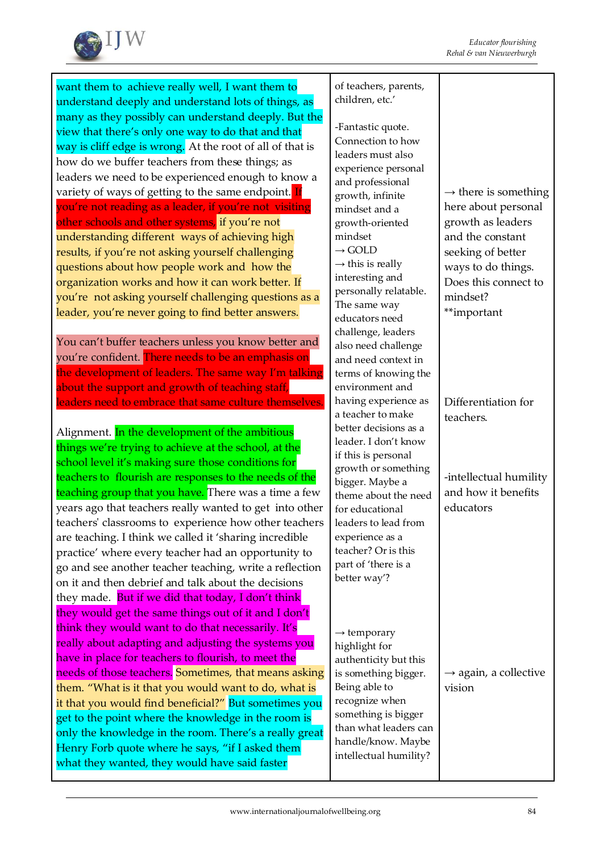

want them to achieve really well, I want them to understand deeply and understand lots of things, as many as they possibly can understand deeply. But the view that there's only one way to do that and that way is cliff edge is wrong. At the root of all of that is how do we buffer teachers from these things; as leaders we need to be experienced enough to know a variety of ways of getting to the same endpoint. If you're not reading as a leader, if you're not visiting other schools and other systems, if you're not understanding different ways of achieving high results, if you're not asking yourself challenging questions about how people work and how the organization works and how it can work better. If you're not asking yourself challenging questions as a leader, you're never going to find better answers.

You can't buffer teachers unless you know better and you're confident. There needs to be an emphasis on the development of leaders. The same way I'm talking about the support and growth of teaching staff, leaders need to embrace that same culture themselves

Alignment. In the development of the ambitious things we're trying to achieve at the school, at the school level it's making sure those conditions for teachers to flourish are responses to the needs of the teaching group that you have. There was a time a few years ago that teachers really wanted to get into other teachers' classrooms to experience how other teachers are teaching. I think we called it 'sharing incredible practice' where every teacher had an opportunity to go and see another teacher teaching, write a reflection on it and then debrief and talk about the decisions they made. But if we did that today, I don't think they would get the same things out of it and I don't think they would want to do that necessarily. It's really about adapting and adjusting the systems you have in place for teachers to flourish, to meet the needs of those teachers. Sometimes, that means asking them. "What is it that you would want to do, what is it that you would find beneficial?" But sometimes you get to the point where the knowledge in the room is only the knowledge in the room. There's a really great Henry Forb quote where he says, "if I asked them what they wanted, they would have said faster

of teachers, parents, children, etc.'

-Fantastic quote. Connection to how leaders must also experience personal and professional growth, infinite mindset and a growth-oriented mindset  $\rightarrow$  GOLD  $\rightarrow$  this is really interesting and personally relatable. The same way educators need challenge, leaders also need challenge and need context in terms of knowing the environment and having experience as a teacher to make better decisions as a leader. I don't know if this is personal growth or something bigger. Maybe a theme about the need for educational leaders to lead from experience as a teacher? Or is this part of 'there is a better way'?  $\rightarrow$  temporary highlight for authenticity but this

is something bigger.

Being able to recognize when something is bigger than what leaders can handle/know. Maybe intellectual humility?

 $\rightarrow$  there is something here about personal growth as leaders and the constant seeking of better ways to do things. Does this connect to mindset? \*\*important

Differentiation for teachers.

-intellectual humility and how it benefits educators

 $\rightarrow$  again, a collective vision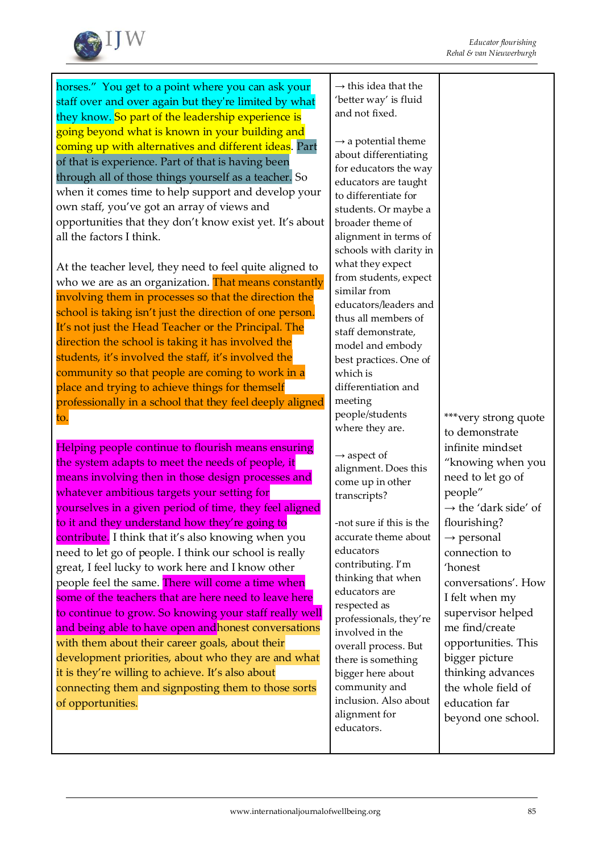

horses." You get to a point where you can ask your staff over and over again but they're limited by what they know. So part of the leadership experience is going beyond what is known in your building and coming up with alternatives and different ideas. Part of that is experience. Part of that is having been through all of those things yourself as a teacher. So when it comes time to help support and develop your own staff, you've got an array of views and opportunities that they don't know exist yet. It's about all the factors I think.

At the teacher level, they need to feel quite aligned to who we are as an organization. That means constantly involving them in processes so that the direction the school is taking isn't just the direction of one person. It's not just the Head Teacher or the Principal. The direction the school is taking it has involved the students, it's involved the staff, it's involved the community so that people are coming to work in a place and trying to achieve things for themself professionally in a school that they feel deeply aligned to.

Helping people continue to flourish means ensuring the system adapts to meet the needs of people, it means involving then in those design processes and whatever ambitious targets your setting for yourselves in a given period of time, they feel aligned to it and they understand how they're going to contribute. I think that it's also knowing when you need to let go of people. I think our school is really great, I feel lucky to work here and I know other people feel the same. There will come a time when some of the teachers that are here need to leave here to continue to grow. So knowing your staff really well and being able to have open andhonest conversations with them about their career goals, about their development priorities, about who they are and what it is they're willing to achieve. It's also about connecting them and signposting them to those sorts of opportunities.

 $\rightarrow$  this idea that the 'better way' is fluid and not fixed.

 $\rightarrow$  a potential theme about differentiating for educators the way educators are taught to differentiate for students. Or maybe a broader theme of alignment in terms of schools with clarity in what they expect from students, expect similar from educators/leaders and thus all members of staff demonstrate, model and embody best practices. One of which is differentiation and meeting people/students where they are.

 $\rightarrow$  aspect of alignment. Does this come up in other transcripts?

-not sure if this is the accurate theme about educators contributing. I'm thinking that when educators are respected as professionals, they're involved in the overall process. But there is something bigger here about community and inclusion. Also about alignment for educators.

\*\*\*very strong quote to demonstrate infinite mindset "knowing when you need to let go of people"  $\rightarrow$  the 'dark side' of flourishing?  $\rightarrow$  personal connection to 'honest conversations'. How I felt when my supervisor helped me find/create opportunities. This bigger picture thinking advances the whole field of education far beyond one school.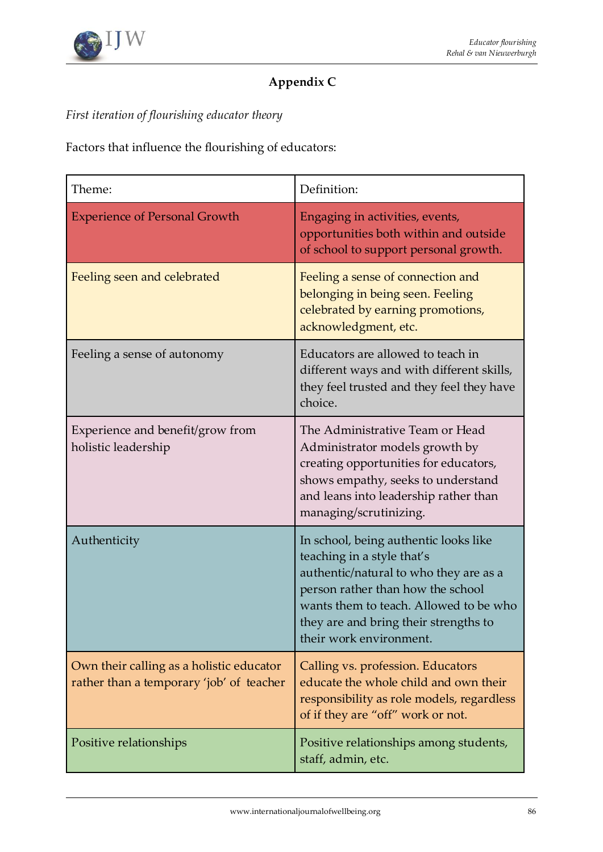

# **Appendix C**

*First iteration of flourishing educator theory*

Factors that influence the flourishing of educators:

| Theme:                                                                               | Definition:                                                                                                                                                                                                                                                      |
|--------------------------------------------------------------------------------------|------------------------------------------------------------------------------------------------------------------------------------------------------------------------------------------------------------------------------------------------------------------|
| <b>Experience of Personal Growth</b>                                                 | Engaging in activities, events,<br>opportunities both within and outside<br>of school to support personal growth.                                                                                                                                                |
| Feeling seen and celebrated                                                          | Feeling a sense of connection and<br>belonging in being seen. Feeling<br>celebrated by earning promotions,<br>acknowledgment, etc.                                                                                                                               |
| Feeling a sense of autonomy                                                          | Educators are allowed to teach in<br>different ways and with different skills,<br>they feel trusted and they feel they have<br>choice.                                                                                                                           |
| Experience and benefit/grow from<br>holistic leadership                              | The Administrative Team or Head<br>Administrator models growth by<br>creating opportunities for educators,<br>shows empathy, seeks to understand<br>and leans into leadership rather than<br>managing/scrutinizing.                                              |
| Authenticity                                                                         | In school, being authentic looks like<br>teaching in a style that's<br>authentic/natural to who they are as a<br>person rather than how the school<br>wants them to teach. Allowed to be who<br>they are and bring their strengths to<br>their work environment. |
| Own their calling as a holistic educator<br>rather than a temporary 'job' of teacher | Calling vs. profession. Educators<br>educate the whole child and own their<br>responsibility as role models, regardless<br>of if they are "off" work or not.                                                                                                     |
| Positive relationships                                                               | Positive relationships among students,<br>staff, admin, etc.                                                                                                                                                                                                     |